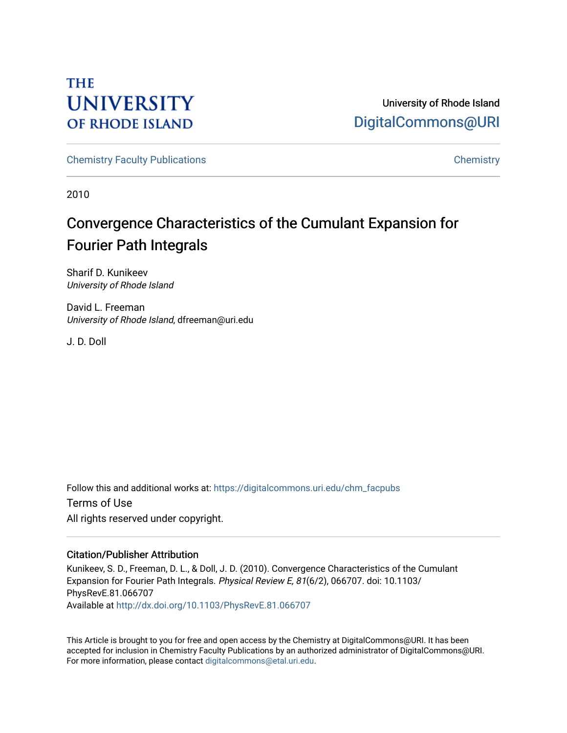# **THE UNIVERSITY OF RHODE ISLAND**

University of Rhode Island [DigitalCommons@URI](https://digitalcommons.uri.edu/) 

[Chemistry Faculty Publications](https://digitalcommons.uri.edu/chm_facpubs) **Chemistry** Chemistry

2010

# Convergence Characteristics of the Cumulant Expansion for Fourier Path Integrals

Sharif D. Kunikeev University of Rhode Island

David L. Freeman University of Rhode Island, dfreeman@uri.edu

J. D. Doll

Follow this and additional works at: [https://digitalcommons.uri.edu/chm\\_facpubs](https://digitalcommons.uri.edu/chm_facpubs?utm_source=digitalcommons.uri.edu%2Fchm_facpubs%2F2&utm_medium=PDF&utm_campaign=PDFCoverPages)  Terms of Use All rights reserved under copyright.

## Citation/Publisher Attribution

Kunikeev, S. D., Freeman, D. L., & Doll, J. D. (2010). Convergence Characteristics of the Cumulant Expansion for Fourier Path Integrals. Physical Review E, 81(6/2), 066707. doi: 10.1103/ PhysRevE.81.066707 Available at <http://dx.doi.org/10.1103/PhysRevE.81.066707>

This Article is brought to you for free and open access by the Chemistry at DigitalCommons@URI. It has been accepted for inclusion in Chemistry Faculty Publications by an authorized administrator of DigitalCommons@URI. For more information, please contact [digitalcommons@etal.uri.edu](mailto:digitalcommons@etal.uri.edu).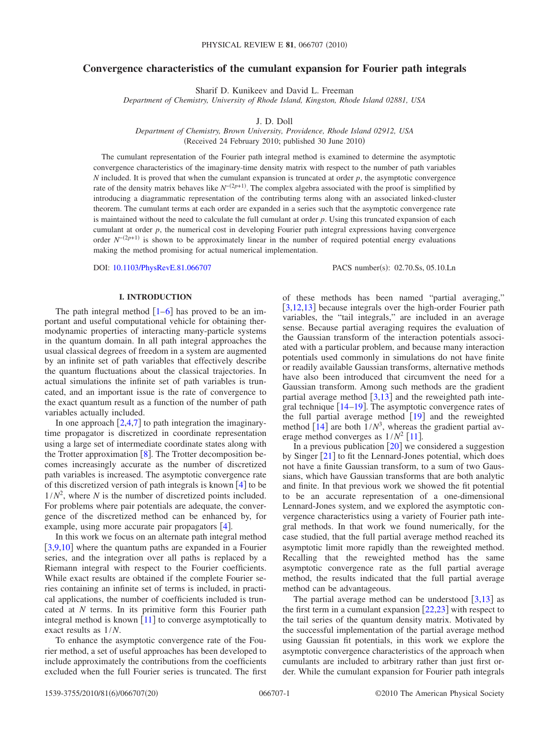## **Convergence characteristics of the cumulant expansion for Fourier path integrals**

Sharif D. Kunikeev and David L. Freeman

*Department of Chemistry, University of Rhode Island, Kingston, Rhode Island 02881, USA*

J. D. Doll

*Department of Chemistry, Brown University, Providence, Rhode Island 02912, USA* (Received 24 February 2010; published 30 June  $2010$ )

The cumulant representation of the Fourier path integral method is examined to determine the asymptotic convergence characteristics of the imaginary-time density matrix with respect to the number of path variables *N* included. It is proved that when the cumulant expansion is truncated at order  $p$ , the asymptotic convergence rate of the density matrix behaves like  $N^{-(2p+1)}$ . The complex algebra associated with the proof is simplified by introducing a diagrammatic representation of the contributing terms along with an associated linked-cluster theorem. The cumulant terms at each order are expanded in a series such that the asymptotic convergence rate is maintained without the need to calculate the full cumulant at order *p*. Using this truncated expansion of each cumulant at order *p*, the numerical cost in developing Fourier path integral expressions having convergence order  $N^{-(2p+1)}$  is shown to be approximately linear in the number of required potential energy evaluations making the method promising for actual numerical implementation.

DOI: [10.1103/PhysRevE.81.066707](http://dx.doi.org/10.1103/PhysRevE.81.066707)

PACS number(s): 02.70.Ss, 05.10.Ln

## **I. INTRODUCTION**

The path integral method  $\left[1-6\right]$  $\left[1-6\right]$  $\left[1-6\right]$  has proved to be an important and useful computational vehicle for obtaining thermodynamic properties of interacting many-particle systems in the quantum domain. In all path integral approaches the usual classical degrees of freedom in a system are augmented by an infinite set of path variables that effectively describe the quantum fluctuations about the classical trajectories. In actual simulations the infinite set of path variables is truncated, and an important issue is the rate of convergence to the exact quantum result as a function of the number of path variables actually included.

In one approach  $[2,4,7]$  $[2,4,7]$  $[2,4,7]$  $[2,4,7]$  $[2,4,7]$  to path integration the imaginarytime propagator is discretized in coordinate representation using a large set of intermediate coordinate states along with the Trotter approximation  $\lceil 8 \rceil$  $\lceil 8 \rceil$  $\lceil 8 \rceil$ . The Trotter decomposition becomes increasingly accurate as the number of discretized path variables is increased. The asymptotic convergence rate of this discretized version of path integrals is known  $[4]$  $[4]$  $[4]$  to be  $1/N^2$ , where *N* is the number of discretized points included. For problems where pair potentials are adequate, the convergence of the discretized method can be enhanced by, for example, using more accurate pair propagators  $[4]$  $[4]$  $[4]$ .

In this work we focus on an alternate path integral method [[3](#page-19-6)[,9](#page-19-7)[,10](#page-19-8)] where the quantum paths are expanded in a Fourier series, and the integration over all paths is replaced by a Riemann integral with respect to the Fourier coefficients. While exact results are obtained if the complete Fourier series containing an infinite set of terms is included, in practical applications, the number of coefficients included is truncated at *N* terms. In its primitive form this Fourier path integral method is known  $[11]$  $[11]$  $[11]$  to converge asymptotically to exact results as 1/*N*.

To enhance the asymptotic convergence rate of the Fourier method, a set of useful approaches has been developed to include approximately the contributions from the coefficients excluded when the full Fourier series is truncated. The first of these methods has been named "partial averaging," [[3,](#page-19-6)[12,](#page-19-10)[13](#page-19-11)] because integrals over the high-order Fourier path variables, the "tail integrals," are included in an average sense. Because partial averaging requires the evaluation of the Gaussian transform of the interaction potentials associated with a particular problem, and because many interaction potentials used commonly in simulations do not have finite or readily available Gaussian transforms, alternative methods have also been introduced that circumvent the need for a Gaussian transform. Among such methods are the gradient partial average method  $\left[3,13\right]$  $\left[3,13\right]$  $\left[3,13\right]$  $\left[3,13\right]$  and the reweighted path integral technique  $[14-19]$  $[14-19]$  $[14-19]$ . The asymptotic convergence rates of the full partial average method  $[19]$  $[19]$  $[19]$  and the reweighted method  $[14]$  $[14]$  $[14]$  are both  $1/N<sup>3</sup>$ , whereas the gradient partial average method converges as  $1/N^2$  [[11](#page-19-9)].

In a previous publication  $[20]$  $[20]$  $[20]$  we considered a suggestion by Singer  $\lceil 21 \rceil$  $\lceil 21 \rceil$  $\lceil 21 \rceil$  to fit the Lennard-Jones potential, which does not have a finite Gaussian transform, to a sum of two Gaussians, which have Gaussian transforms that are both analytic and finite. In that previous work we showed the fit potential to be an accurate representation of a one-dimensional Lennard-Jones system, and we explored the asymptotic convergence characteristics using a variety of Fourier path integral methods. In that work we found numerically, for the case studied, that the full partial average method reached its asymptotic limit more rapidly than the reweighted method. Recalling that the reweighted method has the same asymptotic convergence rate as the full partial average method, the results indicated that the full partial average method can be advantageous.

The partial average method can be understood  $[3,13]$  $[3,13]$  $[3,13]$  $[3,13]$  as the first term in a cumulant expansion  $[22,23]$  $[22,23]$  $[22,23]$  $[22,23]$  with respect to the tail series of the quantum density matrix. Motivated by the successful implementation of the partial average method using Gaussian fit potentials, in this work we explore the asymptotic convergence characteristics of the approach when cumulants are included to arbitrary rather than just first order. While the cumulant expansion for Fourier path integrals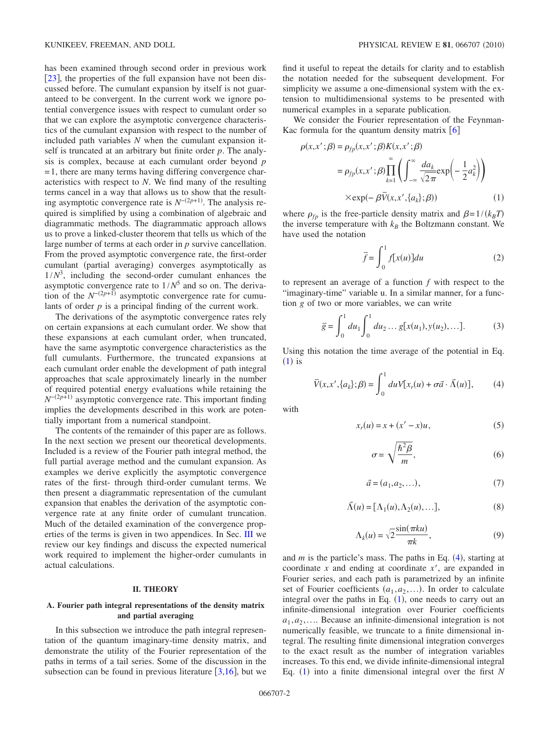has been examined through second order in previous work [[23](#page-19-17)], the properties of the full expansion have not been discussed before. The cumulant expansion by itself is not guaranteed to be convergent. In the current work we ignore potential convergence issues with respect to cumulant order so that we can explore the asymptotic convergence characteristics of the cumulant expansion with respect to the number of included path variables *N* when the cumulant expansion itself is truncated at an arbitrary but finite order *p*. The analysis is complex, because at each cumulant order beyond *p*  $=1$ , there are many terms having differing convergence characteristics with respect to *N*. We find many of the resulting terms cancel in a way that allows us to show that the resulting asymptotic convergence rate is  $N^{-(2p+1)}$ . The analysis required is simplified by using a combination of algebraic and diagrammatic methods. The diagrammatic approach allows us to prove a linked-cluster theorem that tells us which of the large number of terms at each order in *p* survive cancellation. From the proved asymptotic convergence rate, the first-order cumulant (partial averaging) converges asymptotically as  $1/N<sup>3</sup>$ , including the second-order cumulant enhances the asymptotic convergence rate to  $1/N^5$  and so on. The derivation of the  $N^{-(2p+1)}$  asymptotic convergence rate for cumulants of order *p* is a principal finding of the current work.

The derivations of the asymptotic convergence rates rely on certain expansions at each cumulant order. We show that these expansions at each cumulant order, when truncated, have the same asymptotic convergence characteristics as the full cumulants. Furthermore, the truncated expansions at each cumulant order enable the development of path integral approaches that scale approximately linearly in the number of required potential energy evaluations while retaining the *N*<sup>−(2*p*+1)</sup> asymptotic convergence rate. This important finding implies the developments described in this work are potentially important from a numerical standpoint.

The contents of the remainder of this paper are as follows. In the next section we present our theoretical developments. Included is a review of the Fourier path integral method, the full partial average method and the cumulant expansion. As examples we derive explicitly the asymptotic convergence rates of the first- through third-order cumulant terms. We then present a diagrammatic representation of the cumulant expansion that enables the derivation of the asymptotic convergence rate at any finite order of cumulant truncation. Much of the detailed examination of the convergence properties of the terms is given in two appendices. In Sec. [III](#page-13-0) we review our key findings and discuss the expected numerical work required to implement the higher-order cumulants in actual calculations.

#### **II. THEORY**

## **A. Fourier path integral representations of the density matrix and partial averaging**

In this subsection we introduce the path integral representation of the quantum imaginary-time density matrix, and demonstrate the utility of the Fourier representation of the paths in terms of a tail series. Some of the discussion in the subsection can be found in previous literature  $[3,16]$  $[3,16]$  $[3,16]$  $[3,16]$ , but we find it useful to repeat the details for clarity and to establish the notation needed for the subsequent development. For simplicity we assume a one-dimensional system with the extension to multidimensional systems to be presented with numerical examples in a separate publication.

We consider the Fourier representation of the Feynman-Kac formula for the quantum density matrix  $\lceil 6 \rceil$  $\lceil 6 \rceil$  $\lceil 6 \rceil$ 

<span id="page-2-0"></span>
$$
\rho(x, x'; \beta) = \rho_{fp}(x, x'; \beta) K(x, x'; \beta)
$$
  
=  $\rho_{fp}(x, x'; \beta) \prod_{k=1}^{\infty} \left( \int_{-\infty}^{\infty} \frac{da_k}{\sqrt{2\pi}} \exp\left(-\frac{1}{2}a_k^2\right) \right)$   
× $\exp(-\beta \bar{V}(x, x', \{a_k\}; \beta))$  (1)

where  $\rho_{fp}$  is the free-particle density matrix and  $\beta = 1/(k_B T)$ the inverse temperature with  $k_B$  the Boltzmann constant. We have used the notation

$$
\overline{f} = \int_0^1 f[x(u)]du
$$
 (2)

to represent an average of a function *f* with respect to the "imaginary-time" variable u. In a similar manner, for a function *g* of two or more variables, we can write

$$
\overline{g} = \int_0^1 du_1 \int_0^1 du_2 \dots g[x(u_1), y(u_2), \dots].
$$
 (3)

<span id="page-2-1"></span>Using this notation the time average of the potential in Eq.  $(1)$  $(1)$  $(1)$  is

$$
\overline{V}(x, x', \{a_k\}; \beta) = \int_0^1 du V[x_r(u) + \sigma \vec{a} \cdot \vec{\Lambda}(u)], \qquad (4)
$$

with

$$
x_r(u) = x + (x'-x)u,\tag{5}
$$

$$
\sigma = \sqrt{\frac{\hbar^2 \beta}{m}},\tag{6}
$$

$$
\vec{a} = (a_1, a_2, \ldots),\tag{7}
$$

$$
\vec{\Lambda}(u) = [\Lambda_1(u), \Lambda_2(u), \dots], \tag{8}
$$

$$
\Lambda_k(u) = \sqrt{2} \frac{\sin(\pi ku)}{\pi k},\tag{9}
$$

and  $m$  is the particle's mass. The paths in Eq.  $(4)$  $(4)$  $(4)$ , starting at coordinate *x* and ending at coordinate *x*, are expanded in Fourier series, and each path is parametrized by an infinite set of Fourier coefficients  $(a_1, a_2, \ldots)$ . In order to calculate integral over the paths in Eq.  $(1)$  $(1)$  $(1)$ , one needs to carry out an infinite-dimensional integration over Fourier coefficients  $a_1, a_2, \ldots$  Because an infinite-dimensional integration is not numerically feasible, we truncate to a finite dimensional integral. The resulting finite dimensional integration converges to the exact result as the number of integration variables increases. To this end, we divide infinite-dimensional integral Eq. ([1](#page-2-0)) into a finite dimensional integral over the first *N*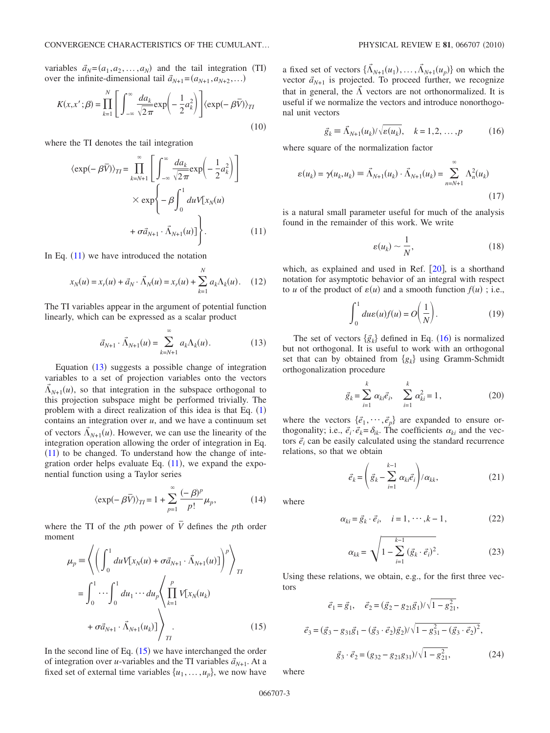variables  $\vec{a}_N = (a_1, a_2, \dots, a_N)$  and the tail integration (TI) over the infinite-dimensional tail  $\vec{a}_{N+1} = (a_{N+1}, a_{N+2}, \ldots)$ 

<span id="page-3-6"></span>
$$
K(x, x'; \beta) = \prod_{k=1}^{N} \left[ \int_{-\infty}^{\infty} \frac{da_k}{\sqrt{2\pi}} \exp\left(-\frac{1}{2}a_k^2\right) \right] \langle \exp(-\beta \overline{V}) \rangle_{TI}
$$
\n(10)

<span id="page-3-0"></span>where the TI denotes the tail integration

$$
\langle \exp(-\beta \overline{V}) \rangle_{TI} = \prod_{k=N+1}^{\infty} \left[ \int_{-\infty}^{\infty} \frac{da_k}{\sqrt{2\pi}} \exp\left(-\frac{1}{2}a_k^2\right) \right]
$$

$$
\times \exp\left\{-\beta \int_0^1 du V[x_N(u)] + \sigma \vec{a}_{N+1} \cdot \vec{\Lambda}_{N+1}(u)] \right\}.
$$
(11)

In Eq.  $(11)$  $(11)$  $(11)$  we have introduced the notation

$$
x_N(u) = x_r(u) + \vec{a}_N \cdot \vec{\Lambda}_N(u) = x_r(u) + \sum_{k=1}^N a_k \Lambda_k(u).
$$
 (12)

<span id="page-3-1"></span>The TI variables appear in the argument of potential function linearly, which can be expressed as a scalar product

$$
\vec{a}_{N+1} \cdot \vec{\Lambda}_{N+1}(u) = \sum_{k=N+1}^{\infty} a_k \Lambda_k(u). \tag{13}
$$

Equation  $(13)$  $(13)$  $(13)$  suggests a possible change of integration variables to a set of projection variables onto the vectors  $\vec{\Lambda}_{N+1}(u)$ , so that integration in the subspace orthogonal to this projection subspace might be performed trivially. The problem with a direct realization of this idea is that Eq.  $(1)$  $(1)$  $(1)$ contains an integration over *u*, and we have a continuum set of vectors  $\vec{\Lambda}_{N+1}(u)$ . However, we can use the linearity of the integration operation allowing the order of integration in Eq.  $(11)$  $(11)$  $(11)$  to be changed. To understand how the change of integration order helps evaluate Eq.  $(11)$  $(11)$  $(11)$ , we expand the exponential function using a Taylor series

$$
\langle \exp(-\beta \overline{V}) \rangle_{TI} = 1 + \sum_{p=1}^{\infty} \frac{(-\beta)^p}{p!} \mu_p,
$$
 (14)

<span id="page-3-5"></span>where the TI of the *p*th power of  $\overline{V}$  defines the *p*th order moment

<span id="page-3-2"></span>
$$
\mu_p \equiv \left\langle \left( \int_0^1 du V[x_N(u) + \sigma \vec{a}_{N+1} \cdot \vec{\Lambda}_{N+1}(u)] \right)^p \right\rangle_{TI}
$$

$$
= \int_0^1 \cdots \int_0^1 du_1 \cdots du_p \left\langle \prod_{k=1}^p V[x_N(u_k) + \sigma \vec{a}_{N+1} \cdot \vec{\Lambda}_{N+1}(u_k)] \right\rangle_{TI}.
$$
(15)

In the second line of Eq.  $(15)$  $(15)$  $(15)$  we have interchanged the order of integration over *u*-variables and the TI variables  $\vec{a}_{N+1}$ . At a fixed set of external time variables  $\{u_1, \ldots, u_p\}$ , we now have

a fixed set of vectors  $\{\tilde{\Lambda}_{N+1}(u_1), \ldots, \tilde{\Lambda}_{N+1}(u_p)\}\)$  on which the vector  $\vec{a}_{N+1}$  is projected. To proceed further, we recognize that in general, the  $\tilde{\Lambda}$  vectors are not orthonormalized. It is useful if we normalize the vectors and introduce nonorthogonal unit vectors

$$
\vec{g}_k \equiv \vec{\Lambda}_{N+1}(u_k) / \sqrt{\varepsilon(u_k)}, \quad k = 1, 2, \dots, p \tag{16}
$$

<span id="page-3-3"></span>where square of the normalization factor

$$
\varepsilon(u_k) = \gamma(u_k, u_k) \equiv \vec{\Lambda}_{N+1}(u_k) \cdot \vec{\Lambda}_{N+1}(u_k) = \sum_{n=N+1}^{\infty} \Lambda_n^2(u_k)
$$
\n(17)

is a natural small parameter useful for much of the analysis found in the remainder of this work. We write

$$
\varepsilon(u_k) \sim \frac{1}{N},\tag{18}
$$

which, as explained and used in Ref.  $[20]$  $[20]$  $[20]$ , is a shorthand notation for asymptotic behavior of an integral with respect to *u* of the product of  $\varepsilon(u)$  and a smooth function  $f(u)$ ; i.e.,

$$
\int_0^1 du \varepsilon(u) f(u) = O\left(\frac{1}{N}\right).
$$
 (19)

The set of vectors  $\{\vec{g}_k\}$  defined in Eq. ([16](#page-3-3)) is normalized but not orthogonal. It is useful to work with an orthogonal set that can by obtained from  ${g_k}$  using Gramm-Schmidt orthogonalization procedure

$$
\vec{g}_k = \sum_{i=1}^k \alpha_{ki} \vec{e}_i, \quad \sum_{i=1}^k \alpha_{ki}^2 = 1,
$$
 (20)

where the vectors  $\{\vec{e}_1, \dots, \vec{e}_p\}$  are expanded to ensure orthogonality; i.e.,  $\vec{e}_i \cdot \vec{e}_k = \delta_{ik}$ . The coefficients  $\alpha_{ki}$  and the vectors  $\vec{e}$ <sub>i</sub> can be easily calculated using the standard recurrence relations, so that we obtain

$$
\vec{e}_k = \left(\vec{g}_k - \sum_{i=1}^{k-1} \alpha_{ki} \vec{e}_i\right) / \alpha_{kk},\tag{21}
$$

<span id="page-3-7"></span><span id="page-3-4"></span>where

$$
\alpha_{ki} = \vec{g}_k \cdot \vec{e}_i, \quad i = 1, \cdots, k - 1,
$$
\n(22)

$$
\alpha_{kk} = \sqrt{1 - \sum_{i=1}^{k-1} (\vec{g}_k \cdot \vec{e}_i)^2}.
$$
 (23)

Using these relations, we obtain, e.g., for the first three vectors

$$
\vec{e}_1 = \vec{g}_1, \quad \vec{e}_2 = (\vec{g}_2 - g_{21}\vec{g}_1)/\sqrt{1 - g_{21}^2},
$$
  

$$
\vec{e}_3 = (\vec{g}_3 - g_{31}\vec{g}_1 - (\vec{g}_3 \cdot \vec{e}_2)\vec{g}_2)/\sqrt{1 - g_{31}^2 - (\vec{g}_3 \cdot \vec{e}_2)^2},
$$
  

$$
\vec{g}_3 \cdot \vec{e}_2 = (g_{32} - g_{21}g_{31})/\sqrt{1 - g_{21}^2},
$$
 (24)

where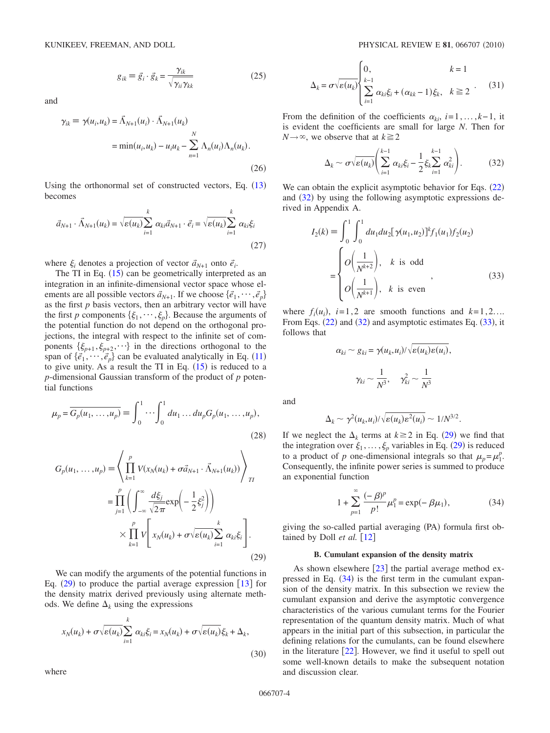<span id="page-4-4"></span>and

$$
\gamma_{ik} \equiv \gamma(u_i, u_k) = \tilde{\Lambda}_{N+1}(u_i) \cdot \tilde{\Lambda}_{N+1}(u_k)
$$
  

$$
= \min(u_i, u_k) - u_i u_k - \sum_{n=1}^{N} \Lambda_n(u_i) \Lambda_n(u_k).
$$
 (26)

Using the orthonormal set of constructed vectors, Eq.  $(13)$  $(13)$  $(13)$ becomes

$$
\vec{a}_{N+1} \cdot \vec{\Lambda}_{N+1}(u_k) = \sqrt{\varepsilon(u_k)} \sum_{i=1}^k \alpha_{ki} \vec{a}_{N+1} \cdot \vec{e}_i = \sqrt{\varepsilon(u_k)} \sum_{i=1}^k \alpha_{ki} \xi_i
$$
\n(27)

where  $\xi_i$  denotes a projection of vector  $\vec{a}_{N+1}$  onto  $\vec{e}_i$ .

The TI in Eq.  $(15)$  $(15)$  $(15)$  can be geometrically interpreted as an integration in an infinite-dimensional vector space whose elements are all possible vectors  $\vec{a}_{N+1}$ . If we choose  $\{\vec{e}_1, \dots, \vec{e}_p\}$ as the first *p* basis vectors, then an arbitrary vector will have the first *p* components  $\{\xi_1, \dots, \xi_p\}$ . Because the arguments of the potential function do not depend on the orthogonal projections, the integral with respect to the infinite set of components  $\{\xi_{p+1}, \xi_{p+2}, \dots\}$  in the directions orthogonal to the span of  $\{\vec{e}_1, \dots, \vec{e}_p\}$  can be evaluated analytically in Eq. ([11](#page-3-0)) to give unity. As a result the TI in Eq.  $(15)$  $(15)$  $(15)$  is reduced to a *p*-dimensional Gaussian transform of the product of *p* potential functions

<span id="page-4-5"></span>
$$
\mu_p = \overline{G_p(u_1, \dots, u_p)} \equiv \int_0^1 \dots \int_0^1 du_1 \dots du_p G_p(u_1, \dots, u_p),
$$
\n(28)

<span id="page-4-0"></span>
$$
G_p(u_1, ..., u_p) = \left\langle \prod_{k=1}^p V(x_N(u_k) + \sigma \vec{a}_{N+1} \cdot \vec{\Lambda}_{N+1}(u_k)) \right\rangle_{TI}
$$
  

$$
= \prod_{j=1}^p \left( \int_{-\infty}^{\infty} \frac{d\xi_j}{\sqrt{2\pi}} \exp\left(-\frac{1}{2}\xi_j^2\right) \right)
$$
  

$$
\times \prod_{k=1}^p V\left[x_N(u_k) + \sigma \sqrt{\varepsilon(u_k)} \sum_{i=1}^k \alpha_{ki} \xi_i \right].
$$
 (29)

We can modify the arguments of the potential functions in Eq.  $(29)$  $(29)$  $(29)$  to produce the partial average expression [[13](#page-19-11)] for the density matrix derived previously using alternate methods. We define  $\Delta_k$  using the expressions

$$
x_N(u_k) + \sigma \sqrt{\varepsilon(u_k)} \sum_{i=1}^k \alpha_{ki} \xi_i = x_N(u_k) + \sigma \sqrt{\varepsilon(u_k)} \xi_k + \Delta_k,
$$
\n(30)

where

$$
\Delta_k = \sigma \sqrt{\varepsilon(u_k)} \begin{cases} 0, & k = 1 \\ \sum_{i=1}^{k-1} \alpha_{ki} \xi_i + (\alpha_{kk} - 1) \xi_k, & k \ge 2 \end{cases} (31)
$$

<span id="page-4-1"></span>From the definition of the coefficients  $\alpha_{ki}$ , *i*=1,...,*k*-1, it is evident the coefficients are small for large *N*. Then for  $N \rightarrow \infty$ , we observe that at  $k \ge 2$ 

$$
\Delta_k \sim \sigma \sqrt{\varepsilon(u_k)} \left( \sum_{i=1}^{k-1} \alpha_{ki} \xi_i - \frac{1}{2} \xi_k \sum_{i=1}^{k-1} \alpha_{ki}^2 \right). \tag{32}
$$

We can obtain the explicit asymptotic behavior for Eqs.  $(22)$  $(22)$  $(22)$ and  $(32)$  $(32)$  $(32)$  by using the following asymptotic expressions derived in Appendix A.

<span id="page-4-2"></span>
$$
I_2(k) \equiv \int_0^1 \int_0^1 du_1 du_2 [\gamma(u_1, u_2)]^k f_1(u_1) f_2(u_2)
$$
  
= 
$$
\begin{cases} O\left(\frac{1}{N^{k+2}}\right), & k \text{ is odd} \\ O\left(\frac{1}{N^{k+1}}\right), & k \text{ is even} \end{cases}
$$
 (33)

where  $f_i(u_i)$ ,  $i=1,2$  are smooth functions and  $k=1,2,...$ From Eqs.  $(22)$  $(22)$  $(22)$  and  $(32)$  $(32)$  $(32)$  and asymptotic estimates Eq.  $(33)$  $(33)$  $(33)$ , it follows that

$$
\alpha_{ki} \sim g_{ki} = \gamma(u_k, u_i) / \sqrt{\varepsilon(u_k)\varepsilon(u_i)},
$$

$$
\gamma_{ki} \sim \frac{1}{N^3}, \quad \gamma_{ki}^2 \sim \frac{1}{N^3}
$$

and

$$
\Delta_k \sim \gamma^2(u_k, u_i)/\sqrt{\varepsilon(u_k)\varepsilon^2(u_i)} \sim 1/N^{3/2}.
$$

If we neglect the  $\Delta_k$  terms at  $k \geq 2$  in Eq. ([29](#page-4-0)) we find that the integration over  $\xi_1, \ldots, \xi_p$  variables in Eq. ([29](#page-4-0)) is reduced to a product of *p* one-dimensional integrals so that  $\mu_p = \mu_1^p$ . Consequently, the infinite power series is summed to produce an exponential function

$$
1 + \sum_{p=1}^{\infty} \frac{(-\beta)^p}{p!} \mu_1^p = \exp(-\beta \mu_1), \tag{34}
$$

<span id="page-4-3"></span>giving the so-called partial averaging (PA) formula first obtained by Doll  $et$  al.  $\lceil 12 \rceil$  $\lceil 12 \rceil$  $\lceil 12 \rceil$ 

#### **B. Cumulant expansion of the density matrix**

As shown elsewhere  $\left[23\right]$  $\left[23\right]$  $\left[23\right]$  the partial average method expressed in Eq.  $(34)$  $(34)$  $(34)$  is the first term in the cumulant expansion of the density matrix. In this subsection we review the cumulant expansion and derive the asymptotic convergence characteristics of the various cumulant terms for the Fourier representation of the quantum density matrix. Much of what appears in the initial part of this subsection, in particular the defining relations for the cumulants, can be found elsewhere in the literature  $[22]$  $[22]$  $[22]$ . However, we find it useful to spell out some well-known details to make the subsequent notation and discussion clear.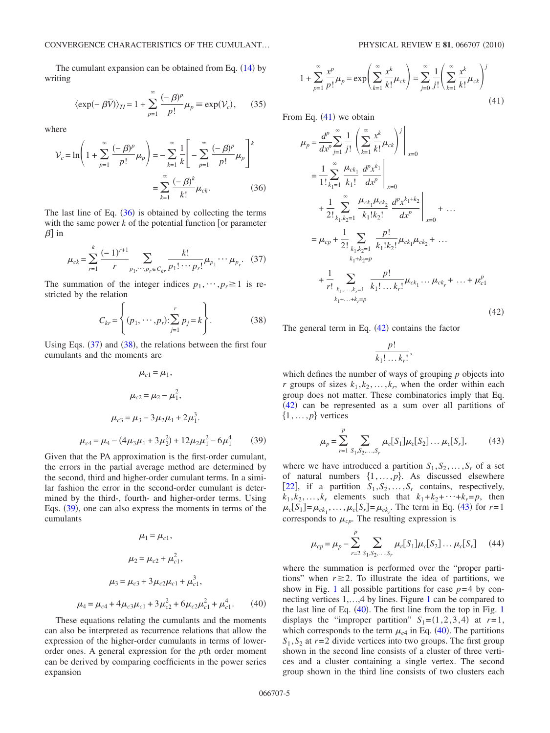The cumulant expansion can be obtained from Eq.  $(14)$  $(14)$  $(14)$  by writing

$$
\langle \exp(-\beta \bar{V}) \rangle_{TI} = 1 + \sum_{p=1}^{\infty} \frac{(-\beta)^p}{p!} \mu_p \equiv \exp(V_c), \qquad (35)
$$

where

<span id="page-5-0"></span>
$$
\mathcal{V}_c = \ln\left(1 + \sum_{p=1}^{\infty} \frac{(-\beta)^p}{p!} \mu_p\right) = -\sum_{k=1}^{\infty} \frac{1}{k} \left[-\sum_{p=1}^{\infty} \frac{(-\beta)^p}{p!} \mu_p\right]^k
$$

$$
= \sum_{k=1}^{\infty} \frac{(-\beta)^k}{k!} \mu_{ck}.
$$
(36)

The last line of Eq.  $(36)$  $(36)$  $(36)$  is obtained by collecting the terms with the same power  $k$  of the potential function [or parameter  $\beta$ ] in

<span id="page-5-1"></span>
$$
\mu_{ck} = \sum_{r=1}^{k} \frac{(-1)^{r+1}}{r} \sum_{p_1, \cdots, p_r \in C_{kr}} \frac{k!}{p_1! \cdots p_r!} \mu_{p_1} \cdots \mu_{p_r}.
$$
 (37)

<span id="page-5-2"></span>The summation of the integer indices  $p_1, \dots, p_r \ge 1$  is restricted by the relation

$$
C_{kr} = \left\{ (p_1, \dots, p_r) : \sum_{j=1}^r p_j = k \right\}.
$$
 (38)

<span id="page-5-3"></span>Using Eqs.  $(37)$  $(37)$  $(37)$  and  $(38)$  $(38)$  $(38)$ , the relations between the first four cumulants and the moments are

$$
\mu_{c1} = \mu_1,
$$
  
\n
$$
\mu_{c2} = \mu_2 - \mu_1^2,
$$
  
\n
$$
\mu_{c3} = \mu_3 - 3\mu_2\mu_1 + 2\mu_1^3.
$$
  
\n
$$
\mu_{c4} = \mu_4 - (4\mu_3\mu_1 + 3\mu_2^2) + 12\mu_2\mu_1^2 - 6\mu_1^4
$$
 (39)

Given that the PA approximation is the first-order cumulant, the errors in the partial average method are determined by the second, third and higher-order cumulant terms. In a similar fashion the error in the second-order cumulant is determined by the third-, fourth- and higher-order terms. Using Eqs. ([39](#page-5-3)), one can also express the moments in terms of the cumulants

<span id="page-5-7"></span>
$$
\mu_1 = \mu_{c1},
$$
  
\n
$$
\mu_2 = \mu_{c2} + \mu_{c1}^2,
$$
  
\n
$$
\mu_3 = \mu_{c3} + 3\mu_{c2}\mu_{c1} + \mu_{c1}^3,
$$
  
\n
$$
\mu_4 = \mu_{c4} + 4\mu_{c3}\mu_{c1} + 3\mu_{c2}^2 + 6\mu_{c2}\mu_{c1}^2 + \mu_{c1}^4.
$$
 (40)

These equations relating the cumulants and the moments can also be interpreted as recurrence relations that allow the expression of the higher-order cumulants in terms of lowerorder ones. A general expression for the *p*th order moment can be derived by comparing coefficients in the power series expansion

<span id="page-5-4"></span>
$$
1 + \sum_{p=1}^{\infty} \frac{x^p}{p!} \mu_p = \exp\left(\sum_{k=1}^{\infty} \frac{x^k}{k!} \mu_{ck}\right) = \sum_{j=0}^{\infty} \frac{1}{j!} \left(\sum_{k=1}^{\infty} \frac{x^k}{k!} \mu_{ck}\right)^j
$$
(41)

<span id="page-5-5"></span>From Eq.  $(41)$  $(41)$  $(41)$  we obtain

$$
\mu_{p} = \frac{d^{p}}{dx^{p}} \sum_{j=1}^{\infty} \frac{1}{j!} \left( \sum_{k=1}^{\infty} \frac{x^{k}}{k!} \mu_{ck} \right)^{j} \Big|_{x=0}
$$
  
\n
$$
= \frac{1}{1!} \sum_{k_{1}=1}^{\infty} \frac{\mu_{ck_{1}}}{k_{1}!} \frac{d^{p}x^{k_{1}}}{dx^{p}} \Big|_{x=0}
$$
  
\n
$$
+ \frac{1}{2!} \sum_{k_{1},k_{2}=1}^{\infty} \frac{\mu_{ck_{1}}\mu_{ck_{2}}}{k_{1}!k_{2}!} \frac{d^{p}x^{k_{1}+k_{2}}}{dx^{p}} \Big|_{x=0} + ...
$$
  
\n
$$
= \mu_{cp} + \frac{1}{2!} \sum_{k_{1},k_{2}=1}^{\infty} \frac{p!}{k_{1}!k_{2}!} \mu_{ck_{1}} \mu_{ck_{2}} + ...
$$
  
\n
$$
+ \frac{1}{r!} \sum_{k_{1},...,k_{r}=1}^{\infty} \frac{p!}{k_{1}!...k_{r}!} \mu_{ck_{1}} ... \mu_{ck_{r}} + ... + \mu_{c1}^{p}
$$
  
\n
$$
k_{1}+...+k_{r}=p} \tag{42}
$$

The general term in Eq.  $(42)$  $(42)$  $(42)$  contains the factor

$$
\frac{p!}{k_1!\ldots k_r!},
$$

which defines the number of ways of grouping *p* objects into *r* groups of sizes  $k_1, k_2, \ldots, k_r$ , when the order within each group does not matter. These combinatorics imply that Eq.  $(42)$  $(42)$  $(42)$  can be represented as a sum over all partitions of  $\{1,\ldots,p\}$  vertices

$$
\mu_p = \sum_{r=1}^p \sum_{S_1, S_2, \dots, S_r} \mu_c[S_1] \mu_c[S_2] \dots \mu_c[S_r],
$$
 (43)

<span id="page-5-6"></span>where we have introduced a partition  $S_1, S_2, \ldots, S_r$  of a set of natural numbers  $\{1, \ldots, p\}$ . As discussed elsewhere [[22](#page-19-16)], if a partition  $S_1, S_2, \ldots, S_r$  contains, respectively,  $k_1, k_2, \ldots, k_r$  elements such that  $k_1 + k_2 + \cdots + k_r = p$ , then  $\mu_c[S_1] = \mu_{ck_1}, \dots, \mu_c[S_r] = \mu_{ck_r}$ . The term in Eq. ([43](#page-5-6)) for  $r = 1$ corresponds to  $\mu_{cp}$ . The resulting expression is

<span id="page-5-8"></span>
$$
\mu_{cp} = \mu_p - \sum_{r=2}^p \sum_{S_1, S_2, \dots, S_r} \mu_c[S_1] \mu_c[S_2] \dots \mu_c[S_r]
$$
 (44)

where the summation is performed over the "proper partitions" when  $r \geq 2$ . To illustrate the idea of partitions, we show in Fig. [1](#page-6-0) all possible partitions for case  $p=4$  by connecting vertices 1,…,4 by lines. Figure [1](#page-6-0) can be compared to the last line of Eq.  $(40)$  $(40)$  $(40)$ . The first line from the top in Fig. [1](#page-6-0) displays the "improper partition"  $S_1 = (1,2,3,4)$  at  $r=1$ , which corresponds to the term  $\mu_{c4}$  in Eq. ([40](#page-5-7)). The partitions  $S_1$ ,  $S_2$  at  $r=2$  divide vertices into two groups. The first group shown in the second line consists of a cluster of three vertices and a cluster containing a single vertex. The second group shown in the third line consists of two clusters each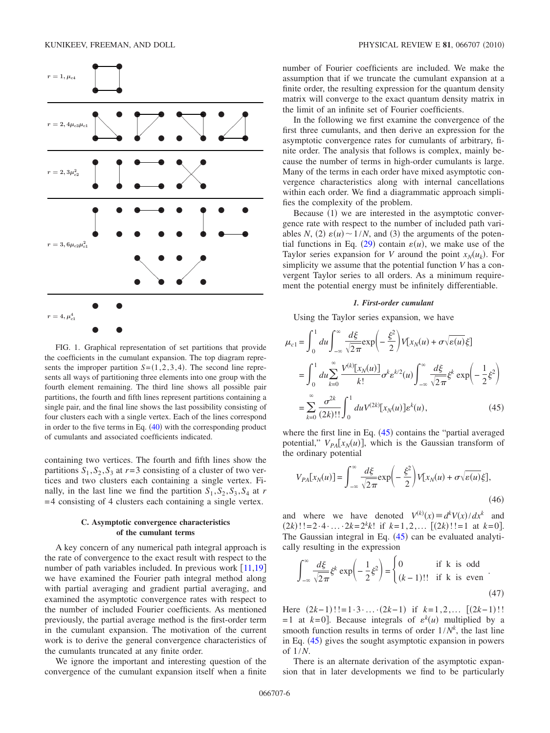<span id="page-6-0"></span>

FIG. 1. Graphical representation of set partitions that provide the coefficients in the cumulant expansion. The top diagram represents the improper partition  $S = (1,2,3,4)$ . The second line represents all ways of partitioning three elements into one group with the fourth element remaining. The third line shows all possible pair partitions, the fourth and fifth lines represent partitions containing a single pair, and the final line shows the last possibility consisting of four clusters each with a single vertex. Each of the lines correspond in order to the five terms in Eq.  $(40)$  $(40)$  $(40)$  with the corresponding product of cumulants and associated coefficients indicated.

containing two vertices. The fourth and fifth lines show the partitions  $S_1$ ,  $S_2$ ,  $S_3$  at  $r=3$  consisting of a cluster of two vertices and two clusters each containing a single vertex. Finally, in the last line we find the partition  $S_1$ ,  $S_2$ ,  $S_3$ ,  $S_4$  at *r* =4 consisting of 4 clusters each containing a single vertex.

## **C. Asymptotic convergence characteristics of the cumulant terms**

A key concern of any numerical path integral approach is the rate of convergence to the exact result with respect to the number of path variables included. In previous work  $[11,19]$  $[11,19]$  $[11,19]$  $[11,19]$ we have examined the Fourier path integral method along with partial averaging and gradient partial averaging, and examined the asymptotic convergence rates with respect to the number of included Fourier coefficients. As mentioned previously, the partial average method is the first-order term in the cumulant expansion. The motivation of the current work is to derive the general convergence characteristics of the cumulants truncated at any finite order.

We ignore the important and interesting question of the convergence of the cumulant expansion itself when a finite number of Fourier coefficients are included. We make the assumption that if we truncate the cumulant expansion at a finite order, the resulting expression for the quantum density matrix will converge to the exact quantum density matrix in the limit of an infinite set of Fourier coefficients.

In the following we first examine the convergence of the first three cumulants, and then derive an expression for the asymptotic convergence rates for cumulants of arbitrary, finite order. The analysis that follows is complex, mainly because the number of terms in high-order cumulants is large. Many of the terms in each order have mixed asymptotic convergence characteristics along with internal cancellations within each order. We find a diagrammatic approach simplifies the complexity of the problem.

Because (1) we are interested in the asymptotic convergence rate with respect to the number of included path variables *N*, (2)  $\varepsilon(u) \sim 1/N$ , and (3) the arguments of the poten-tial functions in Eq. ([29](#page-4-0)) contain  $\varepsilon(u)$ , we make use of the Taylor series expansion for *V* around the point  $x_N(u_k)$ . For simplicity we assume that the potential function *V* has a convergent Taylor series to all orders. As a minimum requirement the potential energy must be infinitely differentiable.

#### *1. First-order cumulant*

<span id="page-6-2"></span>Using the Taylor series expansion, we have

<span id="page-6-1"></span>
$$
\mu_{c1} = \int_0^1 du \int_{-\infty}^{\infty} \frac{d\xi}{\sqrt{2\pi}} \exp\left(-\frac{\xi^2}{2}\right) V[x_N(u) + \sigma \sqrt{\varepsilon(u)}\xi]
$$

$$
= \int_0^1 du \sum_{k=0}^{\infty} \frac{V^{(k)}[x_N(u)]}{k!} \sigma^k \varepsilon^{k/2}(u) \int_{-\infty}^{\infty} \frac{d\xi}{\sqrt{2\pi}} \xi^k \exp\left(-\frac{1}{2}\xi^2\right)
$$

$$
= \sum_{k=0}^{\infty} \frac{\sigma^{2k}}{(2k)!!} \int_0^1 du V^{(2k)}[x_N(u)] \varepsilon^k(u), \qquad (45)
$$

where the first line in Eq.  $(45)$  $(45)$  $(45)$  contains the "partial averaged potential,"  $V_{PA} [x_N(u)]$ , which is the Gaussian transform of the ordinary potential

<span id="page-6-3"></span>
$$
V_{PA}[x_N(u)] = \int_{-\infty}^{\infty} \frac{d\xi}{\sqrt{2\pi}} \exp\left(-\frac{\xi^2}{2}\right) V[x_N(u) + \sigma \sqrt{\varepsilon(u)}\xi],\tag{46}
$$

and where we have denoted  $V^{(k)}(x) \equiv d^k V(x)/dx^k$  and  $(2k)! := 2 \cdot 4 \cdot \ldots \cdot 2k = 2^k k!$  if  $k = 1, 2, \ldots$   $[(2k)!] = 1$  at  $k = 0$ . The Gaussian integral in Eq.  $(45)$  $(45)$  $(45)$  can be evaluated analytically resulting in the expression

$$
\int_{-\infty}^{\infty} \frac{d\xi}{\sqrt{2\pi}} \xi^k \exp\left(-\frac{1}{2}\xi^2\right) = \begin{cases} 0 & \text{if k is odd} \\ (k-1)!! & \text{if k is even} \end{cases}
$$
 (47)

Here  $(2k-1)!! = 1 \cdot 3 \cdot ... \cdot (2k-1)$  if  $k=1,2,...$   $[(2k-1)!!$  $= 1$  at  $k=0$ ]. Because integrals of  $\varepsilon^{k}(u)$  multiplied by a smooth function results in terms of order  $1/N<sup>k</sup>$ , the last line in Eq. ([45](#page-6-1)) gives the sought asymptotic expansion in powers of 1/*N*.

There is an alternate derivation of the asymptotic expansion that in later developments we find to be particularly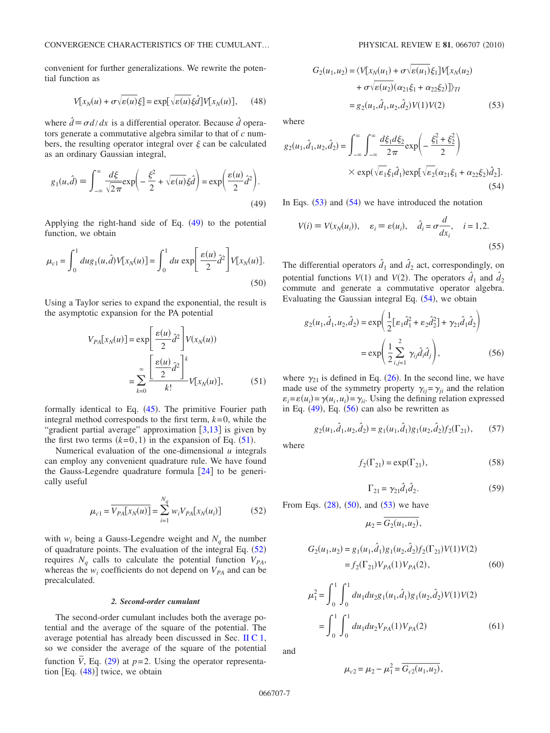convenient for further generalizations. We rewrite the potential function as

$$
V[x_N(u) + \sigma \sqrt{\varepsilon(u)}\xi] = \exp[\sqrt{\varepsilon(u)}\xi\hat{d}]V[x_N(u)], \quad (48)
$$

<span id="page-7-3"></span>where  $\hat{d} \equiv \sigma d/dx$  is a differential operator. Because  $\hat{d}$  operators generate a commutative algebra similar to that of *c* numbers, the resulting operator integral over  $\xi$  can be calculated as an ordinary Gaussian integral,

<span id="page-7-0"></span>
$$
g_1(u,\hat{d}) = \int_{-\infty}^{\infty} \frac{d\xi}{\sqrt{2\pi}} \exp\left(-\frac{\xi^2}{2} + \sqrt{\varepsilon(u)}\xi\hat{d}\right) = \exp\left(\frac{\varepsilon(u)}{2}\hat{d}^2\right).
$$
\n(49)

Applying the right-hand side of Eq.  $(49)$  $(49)$  $(49)$  to the potential function, we obtain

<span id="page-7-7"></span>
$$
\mu_{c1} = \int_0^1 du g_1(u, \hat{d}) V[x_N(u)] = \int_0^1 du \, \exp\left[\frac{\varepsilon(u)}{2} \hat{d}^2\right] V[x_N(u)].
$$
\n(50)

<span id="page-7-1"></span>Using a Taylor series to expand the exponential, the result is the asymptotic expansion for the PA potential

$$
V_{PA}[x_N(u)] = \exp\left[\frac{\varepsilon(u)}{2}\hat{d}^2\right]V(x_N(u))
$$

$$
= \sum_{k=0}^{\infty} \frac{\left[\frac{\varepsilon(u)}{2}\hat{d}^2\right]^k}{k!}V[x_N(u)],\tag{51}
$$

formally identical to Eq.  $(45)$  $(45)$  $(45)$ . The primitive Fourier path integral method corresponds to the first term,  $k=0$ , while the "gradient partial average" approximation  $\lceil 3,13 \rceil$  $\lceil 3,13 \rceil$  $\lceil 3,13 \rceil$  $\lceil 3,13 \rceil$  is given by the first two terms  $(k=0,1)$  in the expansion of Eq.  $(51)$  $(51)$  $(51)$ .

Numerical evaluation of the one-dimensional *u* integrals can employ any convenient quadrature rule. We have found the Gauss-Legendre quadrature formula  $|24|$  $|24|$  $|24|$  to be generically useful

$$
\mu_{c1} = \overline{V_{PA}[x_N(u)]} = \sum_{i=1}^{N_q} w_i V_{PA}[x_N(u_i)]
$$
 (52)

<span id="page-7-2"></span>with  $w_i$  being a Gauss-Legendre weight and  $N_a$  the number of quadrature points. The evaluation of the integral Eq.  $(52)$  $(52)$  $(52)$ requires  $N_q$  calls to calculate the potential function  $V_{PA}$ , whereas the  $w_i$  coefficients do not depend on  $V_{PA}$  and can be precalculated.

#### *2. Second-order cumulant*

The second-order cumulant includes both the average potential and the average of the square of the potential. The average potential has already been discussed in Sec. [II C 1,](#page-6-2) so we consider the average of the square of the potential function  $\overline{V}$ , Eq. ([29](#page-4-0)) at  $p=2$ . Using the operator representation  $[Eq. (48)]$  $[Eq. (48)]$  $[Eq. (48)]$  twice, we obtain

<span id="page-7-4"></span>
$$
G_2(u_1, u_2) = \langle V[x_N(u_1) + \sigma \sqrt{\varepsilon(u_1)} \xi_1] V[x_N(u_2) + \sigma \sqrt{\varepsilon(u_2)} (\alpha_{21} \xi_1 + \alpha_{22} \xi_2)] \rangle_{TI}
$$
  
=  $g_2(u_1, \hat{d}_1, u_2, \hat{d}_2) V(1) V(2)$  (53)

where

<span id="page-7-5"></span>
$$
g_2(u_1, \hat{d}_1, u_2, \hat{d}_2) = \int_{-\infty}^{\infty} \int_{-\infty}^{\infty} \frac{d\xi_1 d\xi_2}{2\pi} \exp\left(-\frac{\xi_1^2 + \xi_2^2}{2}\right)
$$

$$
\times \exp(\sqrt{\varepsilon_1}\xi_1 \hat{d}_1) \exp[\sqrt{\varepsilon_2}(\alpha_{21}\xi_1 + \alpha_{22}\xi_2)\hat{d}_2].
$$
(54)

In Eqs.  $(53)$  $(53)$  $(53)$  and  $(54)$  $(54)$  $(54)$  we have introduced the notation

$$
V(i) \equiv V(x_N(u_i)), \quad \varepsilon_i \equiv \varepsilon(u_i), \quad \hat{d}_i = \sigma \frac{d}{dx_i}, \quad i = 1, 2.
$$
\n
$$
(55)
$$

The differential operators  $\hat{d}_1$  and  $\hat{d}_2$  act, correspondingly, on potential functions  $V(1)$  and  $V(2)$ . The operators  $\hat{d}_1$  and  $\hat{d}_2$ commute and generate a commutative operator algebra. Evaluating the Gaussian integral Eq.  $(54)$  $(54)$  $(54)$ , we obtain

<span id="page-7-6"></span>
$$
g_2(u_1, \hat{d}_1, u_2, \hat{d}_2) = \exp\left(\frac{1}{2}[\varepsilon_1 \hat{d}_1^2 + \varepsilon_2 \hat{d}_2^2] + \gamma_{21} \hat{d}_1 \hat{d}_2\right)
$$

$$
= \exp\left(\frac{1}{2}\sum_{i,j=1}^2 \gamma_{ij} \hat{d}_i \hat{d}_j\right), \tag{56}
$$

where  $\gamma_{21}$  is defined in Eq. ([26](#page-4-4)). In the second line, we have made use of the symmetry property  $\gamma_{ij} = \gamma_{ji}$  and the relation  $\varepsilon_i = \varepsilon(u_i) = \gamma(u_i, u_i) = \gamma_{ii}$ . Using the defining relation expressed in Eq.  $(49)$  $(49)$  $(49)$ , Eq.  $(56)$  $(56)$  $(56)$  can also be rewritten as

$$
g_2(u_1, \hat{d}_1, u_2, \hat{d}_2) = g_1(u_1, \hat{d}_1)g_1(u_2, \hat{d}_2)f_2(\Gamma_{21}),\tag{57}
$$

where

$$
f_2(\Gamma_{21}) = \exp(\Gamma_{21}),\tag{58}
$$

$$
\Gamma_{21} = \gamma_{21} \hat{d}_1 \hat{d}_2. \tag{59}
$$

<span id="page-7-8"></span>From Eqs.  $(28)$  $(28)$  $(28)$ ,  $(50)$  $(50)$  $(50)$ , and  $(53)$  $(53)$  $(53)$  we have

$$
\mu_2 = \overline{G_2(u_1, u_2)},
$$

$$
G_2(u_1, u_2) = g_1(u_1, \hat{d}_1)g_1(u_2, \hat{d}_2)f_2(\Gamma_{21})V(1)V(2)
$$
  
=  $f_2(\Gamma_{21})V_{PA}(1)V_{PA}(2)$ , (60)

$$
\mu_1^2 = \int_0^1 \int_0^1 du_1 du_2 g_1(u_1, \hat{d}_1) g_1(u_2, \hat{d}_2) V(1) V(2)
$$
  
= 
$$
\int_0^1 \int_0^1 du_1 du_2 V_{PA}(1) V_{PA}(2)
$$
 (61)

and

$$
\mu_{c2} = \mu_2 - \mu_1^2 = \overline{G_{c2}(u_1, u_2)},
$$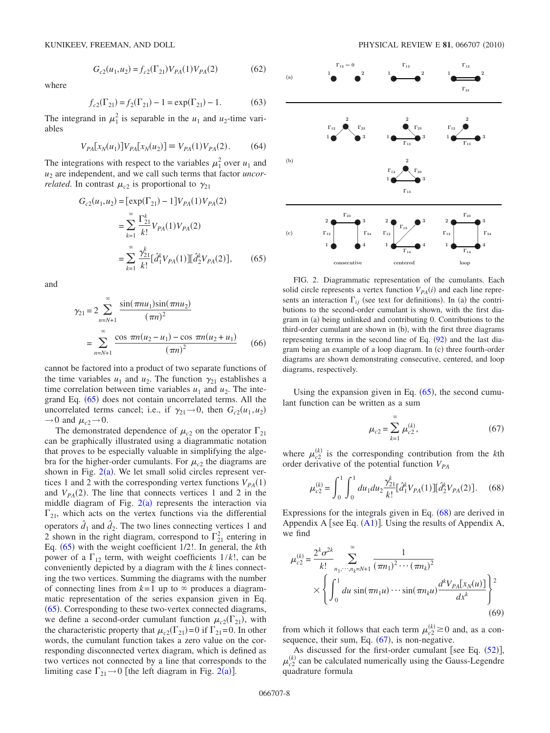where

$$
G_{c2}(u_1, u_2) = f_{c2}(\Gamma_{21}) V_{PA}(1) V_{PA}(2)
$$
 (62)

 $(62)$ 

$$
f_{c2}(\Gamma_{21}) = f_2(\Gamma_{21}) - 1 = \exp(\Gamma_{21}) - 1.
$$
 (63)

The integrand in  $\mu_1^2$  is separable in the  $u_1$  and  $u_2$ -time variables

$$
V_{PA}[x_N(u_1)]V_{PA}[x_N(u_2)] \equiv V_{PA}(1)V_{PA}(2). \tag{64}
$$

The integrations with respect to the variables  $\mu_1^2$  over  $u_1$  and *u*<sup>2</sup> are independent, and we call such terms that factor *uncorrelated*. In contrast  $\mu_{c2}$  is proportional to  $\gamma_{21}$ 

<span id="page-8-0"></span>
$$
G_{c2}(u_1, u_2) = [\exp(\Gamma_{21}) - 1]V_{PA}(1)V_{PA}(2)
$$
  
= 
$$
\sum_{k=1}^{\infty} \frac{\Gamma_{21}^k}{k!} V_{PA}(1)V_{PA}(2)
$$
  
= 
$$
\sum_{k=1}^{\infty} \frac{\gamma_{21}^k}{k!} [\hat{d}_1^k V_{PA}(1)][\hat{d}_2^k V_{PA}(2)],
$$
 (65)

<span id="page-8-4"></span>and

$$
\gamma_{21} = 2 \sum_{n=N+1}^{\infty} \frac{\sin(\pi n u_1) \sin(\pi n u_2)}{(\pi n)^2}
$$

$$
= \sum_{n=N+1}^{\infty} \frac{\cos \pi n (u_2 - u_1) - \cos \pi n (u_2 + u_1)}{(\pi n)^2} \qquad (66)
$$

cannot be factored into a product of two separate functions of the time variables  $u_1$  and  $u_2$ . The function  $\gamma_{21}$  establishes a time correlation between time variables  $u_1$  and  $u_2$ . The inte-grand Eq. ([65](#page-8-0)) does not contain uncorrelated terms. All the uncorrelated terms cancel; i.e., if  $\gamma_{21} \rightarrow 0$ , then  $G_{c2}(u_1, u_2)$  $\rightarrow$  0 and  $\mu_{c2}$  $\rightarrow$  0.

The demonstrated dependence of  $\mu_{c2}$  on the operator  $\Gamma_{21}$ can be graphically illustrated using a diagrammatic notation that proves to be especially valuable in simplifying the algebra for the higher-order cumulants. For  $\mu_{c2}$  the diagrams are shown in Fig.  $2(a)$  $2(a)$ . We let small solid circles represent vertices 1 and 2 with the corresponding vertex functions  $V_{PA}(1)$ and  $V_{PA}(2)$ . The line that connects vertices 1 and 2 in the middle diagram of Fig.  $2(a)$  $2(a)$  represents the interaction via  $\Gamma_{21}$ , which acts on the vertex functions via the differential operators  $\hat{d}_1$  and  $\hat{d}_2$ . The two lines connecting vertices 1 and 2 shown in the right diagram, correspond to  $\Gamma_{21}^2$  entering in Eq. ([65](#page-8-0)) with the weight coefficient 1/2!. In general, the *k*th power of a  $\Gamma_{12}$  term, with weight coefficients  $1/k!$ , can be conveniently depicted by a diagram with the *k* lines connecting the two vertices. Summing the diagrams with the number of connecting lines from  $k=1$  up to  $\infty$  produces a diagrammatic representation of the series expansion given in Eq. ([65](#page-8-0)). Corresponding to these two-vertex connected diagrams, we define a second-order cumulant function  $\mu_{c2}(\Gamma_{21})$ , with the characteristic property that  $\mu_{c2}(\Gamma_{21})=0$  if  $\Gamma_{21}=0$ . In other words, the cumulant function takes a zero value on the corresponding disconnected vertex diagram, which is defined as two vertices not connected by a line that corresponds to the limiting case  $\Gamma_{21} \rightarrow 0$  $\Gamma_{21} \rightarrow 0$  $\Gamma_{21} \rightarrow 0$  [the left diagram in Fig. 2(a)].

<span id="page-8-1"></span>

FIG. 2. Diagrammatic representation of the cumulants. Each solid circle represents a vertex function  $V_{PA}(i)$  and each line represents an interaction  $\Gamma_{ij}$  (see text for definitions). In (a) the contributions to the second-order cumulant is shown, with the first diagram in (a) being unlinked and contributing 0. Contributions to the third-order cumulant are shown in (b), with the first three diagrams representing terms in the second line of Eq.  $(92)$  $(92)$  $(92)$  and the last diagram being an example of a loop diagram. In (c) three fourth-order diagrams are shown demonstrating consecutive, centered, and loop diagrams, respectively.

<span id="page-8-3"></span>Using the expansion given in Eq.  $(65)$  $(65)$  $(65)$ , the second cumulant function can be written as a sum

$$
\mu_{c2} = \sum_{k=1}^{\infty} \mu_{c2}^{(k)},
$$
\n(67)

where  $\mu_{c2}^{(k)}$  is the corresponding contribution from the *k*th order derivative of the potential function  $V_{PA}$ 

<span id="page-8-2"></span>
$$
\mu_{c2}^{(k)} = \int_0^1 \int_0^1 du_1 du_2 \frac{\gamma_{21}^k}{k!} [\hat{d}_1^k V_{PA}(1)][\hat{d}_2^k V_{PA}(2)].
$$
 (68)

Expressions for the integrals given in Eq.  $(68)$  $(68)$  $(68)$  are derived in Appendix A [see Eq.  $(A1)$  $(A1)$  $(A1)$ ]. Using the results of Appendix A, we find

$$
\mu_{c2}^{(k)} = \frac{2^k \sigma^{2k}}{k!} \sum_{n_1, \dots, n_k = N+1}^{\infty} \frac{1}{(\pi n_1)^2 \cdots (\pi n_k)^2} \times \left\{ \int_0^1 du \sin(\pi n_1 u) \cdots \sin(\pi n_k u) \frac{d^k V_{PA}[x_N(u)]}{dx^k} \right\}^2
$$
\n(69)

from which it follows that each term  $\mu_{c2}^{(k)} \ge 0$  and, as a consequence, their sum, Eq.  $(67)$  $(67)$  $(67)$ , is non-negative.

As discussed for the first-order cumulant [see Eq.  $(52)$  $(52)$  $(52)$ ],  $\mu_{c2}^{(k)}$  can be calculated numerically using the Gauss-Legendre quadrature formula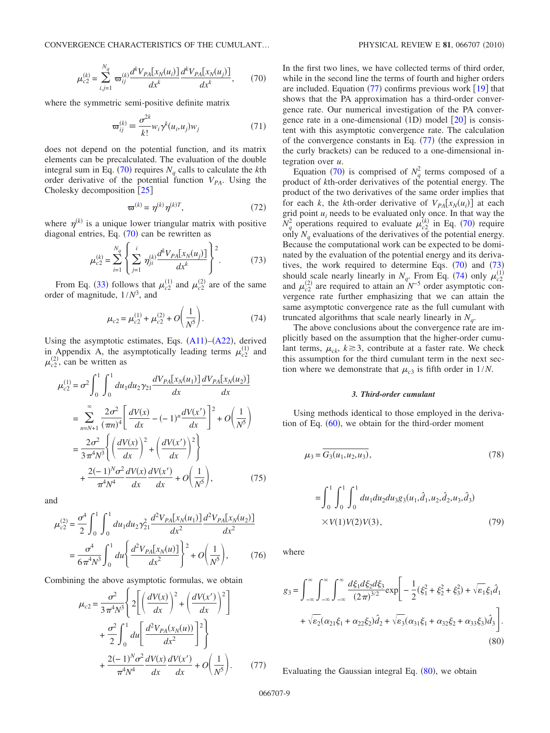<span id="page-9-0"></span>
$$
\mu_{c2}^{(k)} = \sum_{i,j=1}^{N_q} \varpi_{ij}^{(k)} \frac{d^k V_{PA}[x_N(u_i)]}{dx^k} \frac{d^k V_{PA}[x_N(u_j)]}{dx^k},\qquad(70)
$$

where the symmetric semi-positive definite matrix

$$
\mathbf{\varpi}_{ij}^{(k)} \equiv \frac{\sigma^{2k}}{k!} w_i \gamma^k (u_i, u_j) w_j \tag{71}
$$

does not depend on the potential function, and its matrix elements can be precalculated. The evaluation of the double integral sum in Eq. ([70](#page-9-0)) requires  $N_q$  calls to calculate the *k*th order derivative of the potential function  $V_{PA}$ . Using the Cholesky decomposition [[25](#page-19-20)]

$$
\mathbf{\varpi}^{(k)} = \eta^{(k)} \eta^{(k)T},\tag{72}
$$

<span id="page-9-2"></span>where  $\eta^{(k)}$  is a unique lower triangular matrix with positive diagonal entries, Eq.  $(70)$  $(70)$  $(70)$  can be rewritten as

$$
\mu_{c2}^{(k)} = \sum_{i=1}^{N_q} \left\{ \sum_{j=1}^i \eta_{ji}^{(k)} \frac{d^k V_{PA}[x_N(u_j)]}{dx^k} \right\}^2.
$$
 (73)

<span id="page-9-3"></span>From Eq. ([33](#page-4-2)) follows that  $\mu_{c2}^{(1)}$  and  $\mu_{c2}^{(2)}$  are of the same order of magnitude, 1/*N*<sup>3</sup> , and

$$
\mu_{c2} = \mu_{c2}^{(1)} + \mu_{c2}^{(2)} + O\left(\frac{1}{N^5}\right).
$$
 (74)

Using the asymptotic estimates, Eqs.  $(A11)$  $(A11)$  $(A11)$ – $(A22)$  $(A22)$  $(A22)$ , derived in Appendix A, the asymptotically leading terms  $\mu_{c2}^{(1)}$  and  $\mu_{c2}^{(2)}$ , can be written as

$$
\mu_{c2}^{(1)} = \sigma^2 \int_0^1 \int_0^1 du_1 du_2 \gamma_{21} \frac{dV_{PA}[x_N(u_1)]}{dx} \frac{dV_{PA}[x_N(u_2)]}{dx}
$$
  
\n
$$
= \sum_{n=N+1}^{\infty} \frac{2\sigma^2}{(\pi n)^4} \left[ \frac{dV(x)}{dx} - (-1)^n \frac{dV(x')}{dx} \right]^2 + O\left(\frac{1}{N^5}\right)
$$
  
\n
$$
= \frac{2\sigma^2}{3\pi^4 N^3} \left\{ \left(\frac{dV(x)}{dx}\right)^2 + \left(\frac{dV(x')}{dx}\right)^2 \right\}
$$
  
\n
$$
+ \frac{2(-1)^N \sigma^2}{\pi^4 N^4} \frac{dV(x)}{dx} \frac{dV(x')}{dx} + O\left(\frac{1}{N^5}\right),
$$
(75)

and

$$
\mu_{c2}^{(2)} = \frac{\sigma^4}{2} \int_0^1 \int_0^1 du_1 du_2 \gamma_{21}^2 \frac{d^2 V_{PA}[x_N(u_1)]}{dx^2} \frac{d^2 V_{PA}[x_N(u_2)]}{dx^2}
$$

$$
= \frac{\sigma^4}{6\pi^4 N^3} \int_0^1 du \left\{ \frac{d^2 V_{PA}[x_N(u)]}{dx^2} \right\}^2 + O\left(\frac{1}{N^5}\right),\tag{76}
$$

<span id="page-9-1"></span>Combining the above asymptotic formulas, we obtain

$$
\mu_{c2} = \frac{\sigma^2}{3\pi^4 N^3} \left\{ 2 \left[ \left( \frac{dV(x)}{dx} \right)^2 + \left( \frac{dV(x')}{dx} \right)^2 \right] + \frac{\sigma^2}{2} \int_0^1 du \left[ \frac{d^2V_{PA}(x_N(u))}{dx^2} \right]^2 \right\} + \frac{2(-1)^N \sigma^2}{\pi^4 N^4} \frac{dV(x)}{dx} \frac{dV(x')}{dx} + O\left( \frac{1}{N^5} \right). \tag{77}
$$

In the first two lines, we have collected terms of third order, while in the second line the terms of fourth and higher orders are included. Equation  $(77)$  $(77)$  $(77)$  confirms previous work  $[19]$  $[19]$  $[19]$  that shows that the PA approximation has a third-order convergence rate. Our numerical investigation of the PA convergence rate in a one-dimensional  $(1D)$  model  $[20]$  $[20]$  $[20]$  is consistent with this asymptotic convergence rate. The calculation of the convergence constants in Eq.  $(77)$  $(77)$  $(77)$  (the expression in the curly brackets) can be reduced to a one-dimensional integration over *u*.

Equation ([70](#page-9-0)) is comprised of  $N_q^2$  terms composed of a product of *k*th-order derivatives of the potential energy. The product of the two derivatives of the same order implies that for each *k*, the *k*th-order derivative of  $V_{PA}[x_N(u_i)]$  at each grid point  $u_i$  needs to be evaluated only once. In that way the  $N_q^2$  operations required to evaluate  $\mu_{c2}^{(k)}$  in Eq. ([70](#page-9-0)) require only  $N_q$  evaluations of the derivatives of the potential energy. Because the computational work can be expected to be dominated by the evaluation of the potential energy and its derivatives, the work required to determine Eqs.  $(70)$  $(70)$  $(70)$  and  $(73)$  $(73)$  $(73)$ should scale nearly linearly in  $N_q$ . From Eq. ([74](#page-9-3)) only  $\mu_{c2}^{(1)}$ and  $\mu_{c2}^{(2)}$  are required to attain an  $N^{-5}$  order asymptotic convergence rate further emphasizing that we can attain the same asymptotic convergence rate as the full cumulant with truncated algorithms that scale nearly linearly in  $N_a$ .

The above conclusions about the convergence rate are implicitly based on the assumption that the higher-order cumulant terms,  $\mu_{ck}$ ,  $k \geq 3$ , contribute at a faster rate. We check this assumption for the third cumulant term in the next section where we demonstrate that  $\mu_{c3}$  is fifth order in  $1/N$ .

## *3. Third-order cumulant*

Using methods identical to those employed in the derivation of Eq.  $(60)$  $(60)$  $(60)$ , we obtain for the third-order moment

<span id="page-9-5"></span>
$$
\mu_3 = \overline{G_3(u_1, u_2, u_3)},\tag{78}
$$

$$
= \int_0^1 \int_0^1 \int_0^1 du_1 du_2 du_3 g_3(u_1, \hat{d}_1, u_2, \hat{d}_2, u_3, \hat{d}_3)
$$
  
×*V*(1)*V*(2)*V*(3), (79)

where

<span id="page-9-4"></span>
$$
g_3 = \int_{-\infty}^{\infty} \int_{-\infty}^{\infty} \frac{d\xi_1 d\xi_2 d\xi_3}{(2\pi)^{3/2}} \exp\left[ -\frac{1}{2}(\xi_1^2 + \xi_2^2 + \xi_3^2) + \sqrt{\varepsilon_1}\xi_1 \hat{d}_1 \right. \\ \left. + \sqrt{\varepsilon_2}(\alpha_{21}\xi_1 + \alpha_{22}\xi_2)\hat{d}_2 + \sqrt{\varepsilon_3}(\alpha_{31}\xi_1 + \alpha_{32}\xi_2 + \alpha_{33}\xi_3)\hat{d}_3 \right]. \tag{80}
$$

Evaluating the Gaussian integral Eq.  $(80)$  $(80)$  $(80)$ , we obtain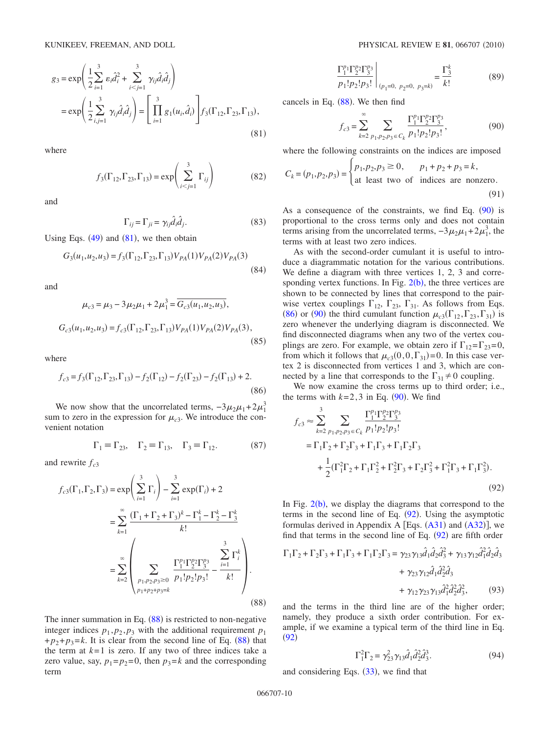<span id="page-10-1"></span>
$$
g_3 = \exp\left(\frac{1}{2}\sum_{i=1}^3 \varepsilon_i \hat{d}_i^2 + \sum_{i < j=1}^3 \gamma_{ij} \hat{d}_i \hat{d}_j\right)
$$
\n
$$
= \exp\left(\frac{1}{2}\sum_{i,j=1}^3 \gamma_{ij} \hat{d}_i \hat{d}_j\right) = \left[\prod_{i=1}^3 g_1(u_i, \hat{d}_i)\right] f_3(\Gamma_{12}, \Gamma_{23}, \Gamma_{13}),\tag{81}
$$

where

$$
f_3(\Gamma_{12}, \Gamma_{23}, \Gamma_{13}) = \exp\left(\sum_{i < j=1}^3 \Gamma_{ij}\right) \tag{82}
$$

and

$$
\Gamma_{ij} = \Gamma_{ji} = \gamma_{ij} \hat{d}_i \hat{d}_j. \tag{83}
$$

Using Eqs.  $(49)$  $(49)$  $(49)$  and  $(81)$  $(81)$  $(81)$ , we then obtain

$$
G_3(u_1, u_2, u_3) = f_3(\Gamma_{12}, \Gamma_{23}, \Gamma_{13}) V_{PA}(1) V_{PA}(2) V_{PA}(3)
$$
\n(84)

<span id="page-10-6"></span>and

$$
\mu_{c3} = \mu_3 - 3\mu_2\mu_1 + 2\mu_1^3 = \overline{G_{c3}(u_1, u_2, u_3)},
$$
  

$$
G_{c3}(u_1, u_2, u_3) = f_{c3}(\Gamma_{12}, \Gamma_{23}, \Gamma_{13})V_{PA}(1)V_{PA}(2)V_{PA}(3),
$$
(85)

where

<span id="page-10-4"></span>
$$
f_{c3} = f_3(\Gamma_{12}, \Gamma_{23}, \Gamma_{13}) - f_2(\Gamma_{12}) - f_2(\Gamma_{23}) - f_2(\Gamma_{13}) + 2.
$$
\n(86)

We now show that the uncorrelated terms,  $-3\mu_2\mu_1+2\mu_1^3$ sum to zero in the expression for  $\mu_{c3}$ . We introduce the convenient notation

$$
\Gamma_1 \equiv \Gamma_{23}, \quad \Gamma_2 \equiv \Gamma_{13}, \quad \Gamma_3 \equiv \Gamma_{12}.\tag{87}
$$

and rewrite  $f_{c3}$ 

<span id="page-10-2"></span>
$$
f_{c3}(\Gamma_1, \Gamma_2, \Gamma_3) = \exp\left(\sum_{i=1}^3 \Gamma_i\right) - \sum_{i=1}^3 \exp(\Gamma_i) + 2
$$
  
= 
$$
\sum_{k=1}^{\infty} \frac{(\Gamma_1 + \Gamma_2 + \Gamma_3)^k - \Gamma_1^k - \Gamma_2^k - \Gamma_3^k}{k!}
$$
  
= 
$$
\sum_{k=2}^{\infty} \left(\sum_{\substack{p_1, p_2, p_3 \ge 0 \\ p_1 + p_2 + p_3 = k}} \frac{\Gamma_1^{p_1} \Gamma_2^{p_2} \Gamma_3^{p_3}}{p_1! p_2! p_3!} - \frac{\sum_{i=1}^3 \Gamma_i^k}{k!}\right).
$$
(88)

The inner summation in Eq.  $(88)$  $(88)$  $(88)$  is restricted to non-negative integer indices  $p_1$ ,  $p_2$ ,  $p_3$  with the additional requirement  $p_1$  $+p_2+p_3=k$ . It is clear from the second line of Eq. ([88](#page-10-2)) that the term at  $k=1$  is zero. If any two of three indices take a zero value, say,  $p_1=p_2=0$ , then  $p_3=k$  and the corresponding term

$$
\frac{\Gamma_1^{p_1} \Gamma_2^{p_2} \Gamma_3^{p_3}}{p_1! p_2! p_3!} \bigg|_{(p_1=0, p_2=0, p_3=k)} = \frac{\Gamma_3^k}{k!}
$$
 (89)

<span id="page-10-3"></span>cancels in Eq.  $(88)$  $(88)$  $(88)$ . We then find

$$
f_{c3} = \sum_{k=2}^{\infty} \sum_{p_1, p_2, p_3 \in C_k} \frac{\Gamma_1^{p_1} \Gamma_2^{p_2} \Gamma_3^{p_3}}{p_1! p_2! p_3!},
$$
(90)

where the following constraints on the indices are imposed

$$
C_k = (p_1, p_2, p_3) = \begin{cases} p_1, p_2, p_3 \ge 0, & p_1 + p_2 + p_3 = k, \\ \text{at least two of indices are nonzero.} \\ (91) \end{cases}
$$

As a consequence of the constraints, we find Eq.  $(90)$  $(90)$  $(90)$  is proportional to the cross terms only and does not contain terms arising from the uncorrelated terms,  $-3\mu_2\mu_1 + 2\mu_1^3$ , the terms with at least two zero indices.

As with the second-order cumulant it is useful to introduce a diagrammatic notation for the various contributions. We define a diagram with three vertices 1, 2, 3 and corresponding vertex functions. In Fig.  $2(b)$  $2(b)$ , the three vertices are shown to be connected by lines that correspond to the pairwise vertex couplings  $\Gamma_{12}$ ,  $\Gamma_{23}$ ,  $\Gamma_{31}$ . As follows from Eqs. ([86](#page-10-4)) or ([90](#page-10-3)) the third cumulant function  $\mu_{c3}(\Gamma_{12}, \Gamma_{23}, \Gamma_{31})$  is zero whenever the underlying diagram is disconnected. We find disconnected diagrams when any two of the vertex couplings are zero. For example, we obtain zero if  $\Gamma_{12} = \Gamma_{23} = 0$ , from which it follows that  $\mu_{c3}(0,0,\Gamma_{31})=0$ . In this case vertex 2 is disconnected from vertices 1 and 3, which are connected by a line that corresponds to the  $\Gamma_{31} \neq 0$  coupling.

We now examine the cross terms up to third order; i.e., the terms with  $k=2,3$  in Eq. ([90](#page-10-3)). We find

<span id="page-10-0"></span>
$$
f_{c3} \approx \sum_{k=2}^{3} \sum_{p_1, p_2, p_3 \in C_k} \frac{\Gamma_1^{p_1} \Gamma_2^{p_2} \Gamma_3^{p_3}}{p_1! p_2! p_3!}
$$
  
=  $\Gamma_1 \Gamma_2 + \Gamma_2 \Gamma_3 + \Gamma_1 \Gamma_3 + \Gamma_1 \Gamma_2 \Gamma_3$   
+  $\frac{1}{2} (\Gamma_1^2 \Gamma_2 + \Gamma_1 \Gamma_2^2 + \Gamma_2^2 \Gamma_3 + \Gamma_2 \Gamma_3^2 + \Gamma_1^2 \Gamma_3 + \Gamma_1 \Gamma_3^2).$  (92)

In Fig.  $2(b)$  $2(b)$ , we display the diagrams that correspond to the terms in the second line of Eq.  $(92)$  $(92)$  $(92)$ . Using the asymptotic formulas derived in Appendix A  $[Eqs. (A31)$  $[Eqs. (A31)$  $[Eqs. (A31)$  and  $(A32)]$  $(A32)]$  $(A32)]$ , we find that terms in the second line of Eq.  $(92)$  $(92)$  $(92)$  are fifth order

<span id="page-10-5"></span>
$$
\Gamma_1 \Gamma_2 + \Gamma_2 \Gamma_3 + \Gamma_1 \Gamma_3 + \Gamma_1 \Gamma_2 \Gamma_3 = \gamma_{23} \gamma_{13} \hat{d}_1 \hat{d}_2 \hat{d}_3^2 + \gamma_{13} \gamma_{12} \hat{d}_1^2 \hat{d}_2 \hat{d}_3
$$
  
+  $\gamma_{23} \gamma_{12} \hat{d}_1 \hat{d}_2^2 \hat{d}_3$   
+  $\gamma_{12} \gamma_{23} \gamma_{13} \hat{d}_1^2 \hat{d}_2^2 \hat{d}_3^2,$  (93)

and the terms in the third line are of the higher order; namely, they produce a sixth order contribution. For example, if we examine a typical term of the third line in Eq.  $(92)$  $(92)$  $(92)$ 

$$
\Gamma_1^2 \Gamma_2 = \gamma_{23}^2 \gamma_{13} \hat{d}_1 \hat{d}_2^2 \hat{d}_3^3. \tag{94}
$$

and considering Eqs.  $(33)$  $(33)$  $(33)$ , we find that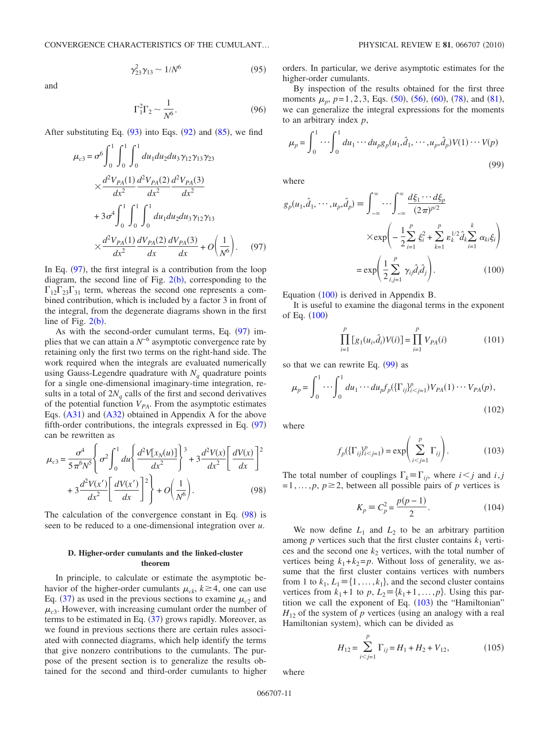$$
\gamma_{23}^2 \gamma_{13} \sim 1/N^6 \tag{95}
$$

and

$$
\Gamma_1^2 \Gamma_2 \sim \frac{1}{N^6}.\tag{96}
$$

<span id="page-11-0"></span>After substituting Eq.  $(93)$  $(93)$  $(93)$  into Eqs.  $(92)$  $(92)$  $(92)$  and  $(85)$  $(85)$  $(85)$ , we find

$$
\mu_{c3} = \sigma^6 \int_0^1 \int_0^1 \int_0^1 du_1 du_2 du_3 \gamma_{12} \gamma_{13} \gamma_{23}
$$
  
\n
$$
\times \frac{d^2 V_{PA}(1)}{dx^2} \frac{d^2 V_{PA}(2)}{dx^2} \frac{d^2 V_{PA}(3)}{dx^2}
$$
  
\n
$$
+ 3\sigma^4 \int_0^1 \int_0^1 \int_0^1 du_1 du_2 du_3 \gamma_{12} \gamma_{13}
$$
  
\n
$$
\times \frac{d^2 V_{PA}(1)}{dx^2} \frac{dV_{PA}(2)}{dx} \frac{dV_{PA}(3)}{dx} + O\left(\frac{1}{N^6}\right).
$$
 (97)

In Eq.  $(97)$  $(97)$  $(97)$ , the first integral is a contribution from the loop diagram, the second line of Fig.  $2(b)$  $2(b)$ , corresponding to the  $\Gamma_{12}\Gamma_{23}\Gamma_{31}$  term, whereas the second one represents a combined contribution, which is included by a factor 3 in front of the integral, from the degenerate diagrams shown in the first line of Fig.  $2(b)$  $2(b)$ .

As with the second-order cumulant terms, Eq.  $(97)$  $(97)$  $(97)$  implies that we can attain a *N*−6 asymptotic convergence rate by retaining only the first two terms on the right-hand side. The work required when the integrals are evaluated numerically using Gauss-Legendre quadrature with  $N_a$  quadrature points for a single one-dimensional imaginary-time integration, results in a total of  $2N_q$  calls of the first and second derivatives of the potential function  $V_{PA}$ . From the asymptotic estimates Eqs.  $(A31)$  $(A31)$  $(A31)$  and  $(A32)$  $(A32)$  $(A32)$  obtained in Appendix A for the above fifth-order contributions, the integrals expressed in Eq.  $(97)$  $(97)$  $(97)$ can be rewritten as

<span id="page-11-1"></span>
$$
\mu_{c3} = \frac{\sigma^4}{5 \pi^6 N^5} \left\{ \sigma^2 \int_0^1 du \left\{ \frac{d^2 V[x_N(u)]}{dx^2} \right\}^3 + 3 \frac{d^2 V(x)}{dx^2} \left[ \frac{dV(x)}{dx} \right]^2 + 3 \frac{d^2 V(x')}{dx^2} \left[ \frac{dV(x')}{dx} \right]^2 + O\left(\frac{1}{N^6}\right). \tag{98}
$$

The calculation of the convergence constant in Eq.  $(98)$  $(98)$  $(98)$  is seen to be reduced to a one-dimensional integration over *u*.

## **D. Higher-order cumulants and the linked-cluster theorem**

In principle, to calculate or estimate the asymptotic behavior of the higher-order cumulants  $\mu_{ck}$ ,  $k \ge 4$ , one can use Eq. ([37](#page-5-1)) as used in the previous sections to examine  $\mu_{c2}$  and  $\mu_{c3}$ . However, with increasing cumulant order the number of terms to be estimated in Eq.  $(37)$  $(37)$  $(37)$  grows rapidly. Moreover, as we found in previous sections there are certain rules associated with connected diagrams, which help identify the terms that give nonzero contributions to the cumulants. The purpose of the present section is to generalize the results obtained for the second and third-order cumulants to higher orders. In particular, we derive asymptotic estimates for the higher-order cumulants.

By inspection of the results obtained for the first three moments  $\mu_p$ ,  $p=1,2,3$ , Eqs. ([50](#page-7-7)), ([56](#page-7-6)), ([60](#page-7-8)), ([78](#page-9-5)), and ([81](#page-10-1)), we can generalize the integral expressions for the moments to an arbitrary index *p*,

<span id="page-11-3"></span>
$$
\mu_p = \int_0^1 \cdots \int_0^1 du_1 \cdots du_p g_p(u_1, \hat{d}_1, \cdots, u_p, \hat{d}_p) V(1) \cdots V(p)
$$
\n(99)

where

<span id="page-11-2"></span>
$$
g_p(u_1, \hat{d}_1, \cdots, u_p, \hat{d}_p) \equiv \int_{-\infty}^{\infty} \cdots \int_{-\infty}^{\infty} \frac{d\xi_1 \cdots d\xi_p}{(2\pi)^{p/2}}
$$

$$
\times \exp\left(-\frac{1}{2} \sum_{i=1}^p \xi_i^2 + \sum_{k=1}^p \varepsilon_k^{1/2} \hat{d}_k \sum_{i=1}^k \alpha_{ki} \xi_i\right)
$$

$$
= \exp\left(\frac{1}{2} \sum_{i,j=1}^p \gamma_{ij} \hat{d}_i \hat{d}_j\right). \tag{100}
$$

Equation ([100](#page-11-2)) is derived in Appendix B.

It is useful to examine the diagonal terms in the exponent of Eq. ([100](#page-11-2))

$$
\prod_{i=1}^{p} [g_1(u_i, \hat{d}_i) V(i)] = \prod_{i=1}^{p} V_{PA}(i)
$$
 (101)

so that we can rewrite Eq. ([99](#page-11-3)) as

<span id="page-11-5"></span>
$$
\mu_p = \int_0^1 \cdots \int_0^1 du_1 \cdots du_p f_p(\{\Gamma_{ij}\}_{i\n(102)
$$

<span id="page-11-4"></span>where

$$
f_p(\{\Gamma_{ij}\}_{i (103)
$$

The total number of couplings  $\Gamma_k \equiv \Gamma_{ij}$ , where  $i < j$  and  $i, j$  $=1, \ldots, p, p \geq 2$ , between all possible pairs of *p* vertices is

$$
K_p = C_p^2 = \frac{p(p-1)}{2}.
$$
 (104)

We now define  $L_1$  and  $L_2$  to be an arbitrary partition among  $p$  vertices such that the first cluster contains  $k_1$  vertices and the second one  $k_2$  vertices, with the total number of vertices being  $k_1+k_2=p$ . Without loss of generality, we assume that the first cluster contains vertices with numbers from 1 to  $k_1, L_1 = \{1, \ldots, k_1\}$ , and the second cluster contains vertices from  $k_1+1$  to  $p, L_2 = \{k_1+1, \ldots, p\}$ . Using this partition we call the exponent of Eq.  $(103)$  $(103)$  $(103)$  the "Hamiltonian"  $H_{12}$  of the system of *p* vertices (using an analogy with a real Hamiltonian system), which can be divided as

$$
H_{12} = \sum_{i < j=1}^{p} \Gamma_{ij} = H_1 + H_2 + V_{12},\tag{105}
$$

where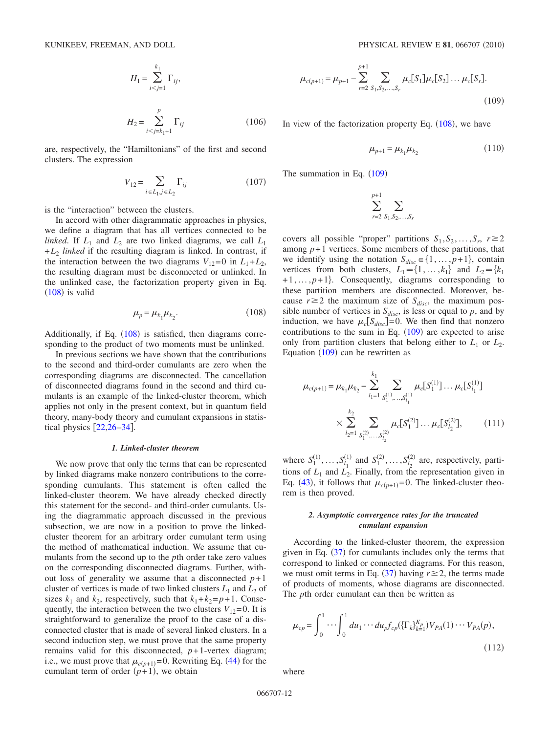$$
H_1 = \sum_{i < j=1}^{k_1} \Gamma_{ij},
$$

$$
H_2 = \sum_{i < j = k_1 + 1}^{p} \Gamma_{ij} \tag{106}
$$

are, respectively, the "Hamiltonians" of the first and second clusters. The expression

$$
V_{12} = \sum_{i \in L_1, j \in L_2} \Gamma_{ij} \tag{107}
$$

is the "interaction" between the clusters.

In accord with other diagrammatic approaches in physics, we define a diagram that has all vertices connected to be *linked*. If  $L_1$  and  $L_2$  are two linked diagrams, we call  $L_1$  $+L_2$  *linked* if the resulting diagram is linked. In contrast, if the interaction between the two diagrams  $V_{12}=0$  in  $L_1+L_2$ , the resulting diagram must be disconnected or unlinked. In the unlinked case, the factorization property given in Eq.  $(108)$  $(108)$  $(108)$  is valid

$$
\mu_p = \mu_{k_1} \mu_{k_2}.\tag{108}
$$

<span id="page-12-0"></span>Additionally, if Eq.  $(108)$  $(108)$  $(108)$  is satisfied, then diagrams corresponding to the product of two moments must be unlinked.

In previous sections we have shown that the contributions to the second and third-order cumulants are zero when the corresponding diagrams are disconnected. The cancellation of disconnected diagrams found in the second and third cumulants is an example of the linked-cluster theorem, which applies not only in the present context, but in quantum field theory, many-body theory and cumulant expansions in statistical physics  $[22,26-34]$  $[22,26-34]$  $[22,26-34]$  $[22,26-34]$ .

## *1. Linked-cluster theorem*

We now prove that only the terms that can be represented by linked diagrams make nonzero contributions to the corresponding cumulants. This statement is often called the linked-cluster theorem. We have already checked directly this statement for the second- and third-order cumulants. Using the diagrammatic approach discussed in the previous subsection, we are now in a position to prove the linkedcluster theorem for an arbitrary order cumulant term using the method of mathematical induction. We assume that cumulants from the second up to the *p*th order take zero values on the corresponding disconnected diagrams. Further, without loss of generality we assume that a disconnected  $p+1$ cluster of vertices is made of two linked clusters  $L_1$  and  $L_2$  of sizes  $k_1$  and  $k_2$ , respectively, such that  $k_1 + k_2 = p + 1$ . Consequently, the interaction between the two clusters  $V_{12}=0$ . It is straightforward to generalize the proof to the case of a disconnected cluster that is made of several linked clusters. In a second induction step, we must prove that the same property remains valid for this disconnected,  $p+1$ -vertex diagram; i.e., we must prove that  $\mu_{c(p+1)} = 0$ . Rewriting Eq. ([44](#page-5-8)) for the cumulant term of order  $(p+1)$ , we obtain

<span id="page-12-1"></span>
$$
\mu_{c(p+1)} = \mu_{p+1} - \sum_{r=2}^{p+1} \sum_{S_1, S_2, \dots, S_r} \mu_c[S_1] \mu_c[S_2] \dots \mu_c[S_r].
$$
\n(109)

In view of the factorization property Eq.  $(108)$  $(108)$  $(108)$ , we have

$$
\mu_{p+1} = \mu_{k_1} \mu_{k_2} \tag{110}
$$

The summation in Eq.  $(109)$  $(109)$  $(109)$ 

$$
\sum_{r=2}^{p+1} \sum_{S_1, S_2, \ldots, S_r}
$$

covers all possible "proper" partitions  $S_1, S_2, \ldots, S_r$ ,  $r \ge 2$ among  $p+1$  vertices. Some members of these partitions, that we identify using the notation  $S_{disc} \in \{1, ..., p+1\}$ , contain vertices from both clusters,  $L_1 = \{1, ..., k_1\}$  and  $L_2 = \{k_1, ..., k_m\}$ +1,..., *p*+1 . Consequently, diagrams corresponding to these partition members are disconnected. Moreover, because  $r \geq 2$  the maximum size of  $S_{disc}$ , the maximum possible number of vertices in  $S_{disc}$ , is less or equal to *p*, and by induction, we have  $\mu_c[S_{disc}]=0$ . We then find that nonzero contributions to the sum in Eq.  $(109)$  $(109)$  $(109)$  are expected to arise only from partition clusters that belong either to  $L_1$  or  $L_2$ . Equation  $(109)$  $(109)$  $(109)$  can be rewritten as

$$
\mu_{c(p+1)} = \mu_{k_1} \mu_{k_2} - \sum_{l_1=1}^{k_1} \sum_{S_1^{(1)},...,S_{l_1}^{(1)}} \mu_c[S_1^{(1)}] \dots \mu_c[S_{l_1}^{(1)}]
$$
  
 
$$
\times \sum_{l_2=1}^{k_2} \sum_{S_1^{(2)},...,S_{l_2}^{(2)}} \mu_c[S_1^{(2)}] \dots \mu_c[S_{l_2}^{(2)}], \qquad (111)
$$

where  $S_1^{(1)}, \ldots, S_{l_1}^{(1)}$  $S_1^{(1)}$  and  $S_1^{(2)}, \ldots, S_{l_2}^{(2)}$  $l_2^{(2)}$  are, respectively, partitions of  $L_1$  and  $L_2$ . Finally, from the representation given in Eq. ([43](#page-5-6)), it follows that  $\mu_{c(p+1)} = 0$ . The linked-cluster theorem is then proved.

## *2. Asymptotic convergence rates for the truncated cumulant expansion*

According to the linked-cluster theorem, the expression given in Eq.  $(37)$  $(37)$  $(37)$  for cumulants includes only the terms that correspond to linked or connected diagrams. For this reason, we must omit terms in Eq.  $(37)$  $(37)$  $(37)$  having  $r \ge 2$ , the terms made of products of moments, whose diagrams are disconnected. The *p*th order cumulant can then be written as

<span id="page-12-2"></span>
$$
\mu_{cp} = \int_0^1 \cdots \int_0^1 du_1 \cdots du_p f_{cp} (\{\Gamma_k\}_{k=1}^{K_p}) V_{PA}(1) \cdots V_{PA}(p),
$$
\n(112)

where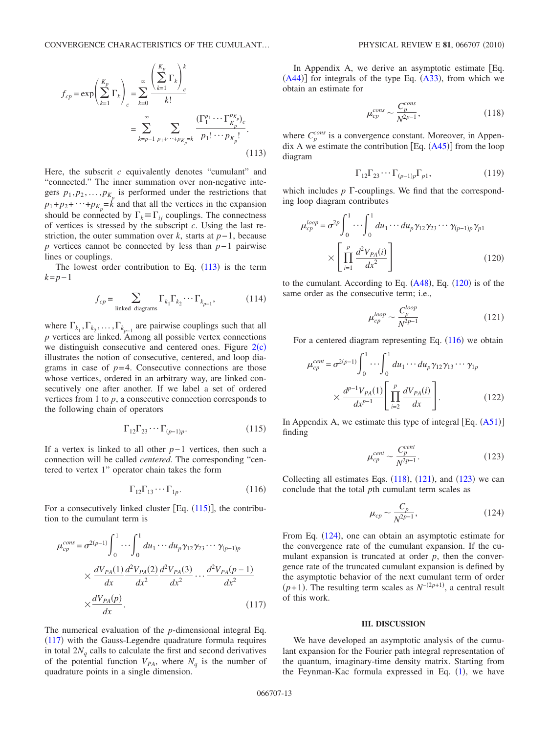<span id="page-13-1"></span>
$$
f_{cp} = \exp\left(\sum_{k=1}^{K_p} \Gamma_k\right)_c = \sum_{k=0}^{\infty} \frac{\left(\sum_{k=1}^{K_p} \Gamma_k\right)_c^k}{k!} = \sum_{k=p-1}^{\infty} \sum_{p_1 + \dots + p_{K_p} = k} \frac{(\Gamma_1^{p_1} \cdots \Gamma_{K_p}^{p_{K_p}})_{c}}{p_1! \cdots p_{K_p}!}.
$$
\n(113)

Here, the subscrit *c* equivalently denotes "cumulant" and "connected." The inner summation over non-negative integers  $p_1, p_2, \ldots, p_{K_p}$  is performed under the restrictions that  $p_1 + p_2 + \cdots + p_{K_p} = k$  and that all the vertices in the expansion should be connected by  $\Gamma_k \equiv \Gamma_{ij}$  couplings. The connectness of vertices is stressed by the subscript *c*. Using the last restriction, the outer summation over *k*, starts at *p*−1, because *p* vertices cannot be connected by less than *p*−1 pairwise lines or couplings.

The lowest order contribution to Eq.  $(113)$  $(113)$  $(113)$  is the term *k*=*p*−1

$$
f_{cp} = \sum_{\text{linked diagrams}} \Gamma_{k_1} \Gamma_{k_2} \cdots \Gamma_{k_{p-1}}, \tag{114}
$$

where  $\Gamma_{k_1}, \Gamma_{k_2}, \ldots, \Gamma_{k_{p-1}}$  are pairwise couplings such that all *p* vertices are linked. Among all possible vertex connections we distinguish consecutive and centered ones. Figure  $2(c)$  $2(c)$ illustrates the notion of consecutive, centered, and loop diagrams in case of  $p=4$ . Consecutive connections are those whose vertices, ordered in an arbitrary way, are linked consecutively one after another. If we label a set of ordered vertices from 1 to *p*, a consecutive connection corresponds to the following chain of operators

$$
\Gamma_{12}\Gamma_{23}\cdots\Gamma_{(p-1)p}.\tag{115}
$$

<span id="page-13-2"></span>If a vertex is linked to all other *p*−1 vertices, then such a connection will be called *centered*. The corresponding "centered to vertex 1" operator chain takes the form

$$
\Gamma_{12}\Gamma_{13}\cdots\Gamma_{1p}.\tag{116}
$$

<span id="page-13-5"></span>For a consecutively linked cluster [Eq.  $(115)$  $(115)$  $(115)$ ], the contribution to the cumulant term is

<span id="page-13-3"></span>
$$
\mu_{cp}^{cons} = \sigma^{2(p-1)} \int_{0}^{1} \cdots \int_{0}^{1} du_1 \cdots du_p \gamma_{12} \gamma_{23} \cdots \gamma_{(p-1)p}
$$
\n
$$
\times \frac{dV_{PA}(1)}{dx} \frac{d^2V_{PA}(2)}{dx^2} \frac{d^2V_{PA}(3)}{dx^2} \cdots \frac{d^2V_{PA}(p-1)}{dx^2}
$$
\n
$$
\times \frac{dV_{PA}(p)}{dx}.
$$
\n(117)

The numerical evaluation of the *p*-dimensional integral Eq.  $(117)$  $(117)$  $(117)$  with the Gauss-Legendre quadrature formula requires in total  $2N_q$  calls to calculate the first and second derivatives of the potential function  $V_{PA}$ , where  $N_q$  is the number of quadrature points in a single dimension.

In Appendix A, we derive an asymptotic estimate [Eq.  $(A44)$  $(A44)$  $(A44)$ ] for integrals of the type Eq.  $(A33)$  $(A33)$  $(A33)$ , from which we obtain an estimate for

$$
\mu_{cp}^{cons} \sim \frac{C_p^{cons}}{N^{2p-1}},\tag{118}
$$

<span id="page-13-6"></span>where  $C_p^{\text{cons}}$  is a convergence constant. Moreover, in Appendix A we estimate the contribution  $[Eq. (A45)]$  $[Eq. (A45)]$  $[Eq. (A45)]$  from the loop diagram

$$
\Gamma_{12}\Gamma_{23}\cdots\Gamma_{(p-1)p}\Gamma_{p1},\tag{119}
$$

which includes  $p \Gamma$ -couplings. We find that the corresponding loop diagram contributes

<span id="page-13-4"></span>
$$
\mu_{cp}^{loop} = \sigma^{2p} \int_{0}^{1} \cdots \int_{0}^{1} du_1 \cdots du_p \gamma_{12} \gamma_{23} \cdots \gamma_{(p-1)p} \gamma_{p1}
$$

$$
\times \left[ \prod_{i=1}^{p} \frac{d^2 V_{PA}(i)}{dx^2} \right]
$$
(120)

<span id="page-13-7"></span>to the cumulant. According to Eq.  $(A48)$  $(A48)$  $(A48)$ , Eq.  $(120)$  $(120)$  $(120)$  is of the same order as the consecutive term; i.e.,

$$
\mu_{cp}^{loop} \sim \frac{C_p^{loop}}{N^{2p-1}}\tag{121}
$$

For a centered diagram representing Eq.  $(116)$  $(116)$  $(116)$  we obtain

$$
\mu_{cp}^{cent} = \sigma^{2(p-1)} \int_{0}^{1} \cdots \int_{0}^{1} du_1 \cdots du_p \gamma_{12} \gamma_{13} \cdots \gamma_{1p}
$$

$$
\times \frac{d^{p-1} V_{PA}(1)}{dx^{p-1}} \left[ \prod_{i=2}^{p} \frac{dV_{PA}(i)}{dx} \right].
$$
 (122)

<span id="page-13-8"></span>In Appendix A, we estimate this type of integral  $[Eq. (A51)]$  $[Eq. (A51)]$  $[Eq. (A51)]$ finding

$$
\mu_{cp}^{cent} \sim \frac{C_p^{cent}}{N^{2p-1}}.\tag{123}
$$

<span id="page-13-9"></span>Collecting all estimates Eqs.  $(118)$  $(118)$  $(118)$ ,  $(121)$  $(121)$  $(121)$ , and  $(123)$  $(123)$  $(123)$  we can conclude that the total *p*th cumulant term scales as

$$
\mu_{cp} \sim \frac{C_p}{N^{2p-1}},\tag{124}
$$

From Eq. ([124](#page-13-9)), one can obtain an asymptotic estimate for the convergence rate of the cumulant expansion. If the cumulant expansion is truncated at order *p*, then the convergence rate of the truncated cumulant expansion is defined by the asymptotic behavior of the next cumulant term of order  $(p+1)$ . The resulting term scales as  $N^{-(2p+1)}$ , a central result of this work.

#### **III. DISCUSSION**

<span id="page-13-0"></span>We have developed an asymptotic analysis of the cumulant expansion for the Fourier path integral representation of the quantum, imaginary-time density matrix. Starting from the Feynman-Kac formula expressed in Eq.  $(1)$  $(1)$  $(1)$ , we have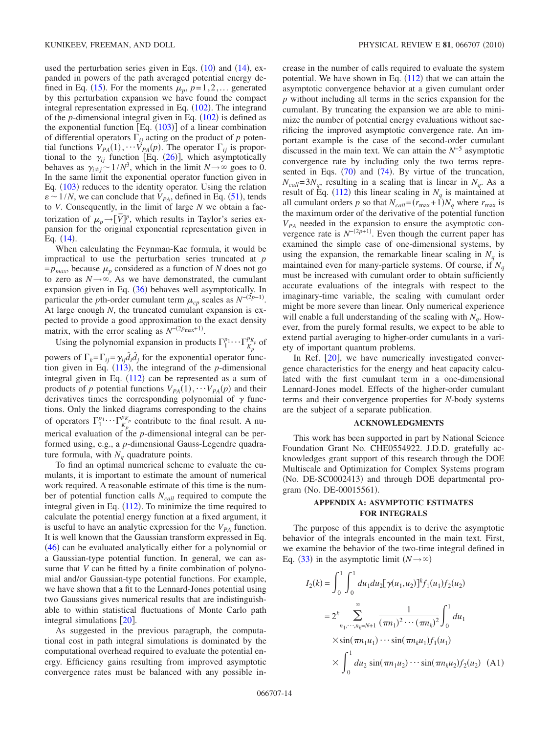used the perturbation series given in Eqs.  $(10)$  $(10)$  $(10)$  and  $(14)$  $(14)$  $(14)$ , expanded in powers of the path averaged potential energy de-fined in Eq. ([15](#page-3-2)). For the moments  $\mu_p$ ,  $p=1,2,...$  generated by this perturbation expansion we have found the compact integral representation expressed in Eq. ([102](#page-11-5)). The integrand of the  $p$ -dimensional integral given in Eq.  $(102)$  $(102)$  $(102)$  is defined as the exponential function  $\left[Eq. (103)\right]$  $\left[Eq. (103)\right]$  $\left[Eq. (103)\right]$  of a linear combination of differential operators  $\Gamma_{ij}$  acting on the product of p potential functions  $V_{PA}(1)$ ,  $\cdots$   $V_{PA}(p)$ . The operator  $\Gamma_{ij}$  is proportional to the  $\gamma_{ij}$  function [Eq. ([26](#page-4-4))], which asymptotically behaves as  $\gamma_{i\neq j} \sim 1/N^3$ , which in the limit  $N \to \infty$  goes to 0. In the same limit the exponential operator function given in Eq. ([103](#page-11-4)) reduces to the identity operator. Using the relation  $\varepsilon \sim 1/N$ , we can conclude that  $V_{PA}$ , defined in Eq. ([51](#page-7-1)), tends to *V*. Consequently, in the limit of large *N* we obtain a factorization of  $\mu_p \rightarrow \left[\overline{V}\right]^p$ , which results in Taylor's series expansion for the original exponential representation given in Eq.  $(14)$  $(14)$  $(14)$ .

When calculating the Feynman-Kac formula, it would be impractical to use the perturbation series truncated at *p*  $=p_{max}$ , because  $\mu_p$  considered as a function of *N* does not go to zero as  $N \rightarrow \infty$ . As we have demonstrated, the cumulant expansion given in Eq.  $(36)$  $(36)$  $(36)$  behaves well asymptotically. In particular the *p*th-order cumulant term  $\mu_{cp}$  scales as  $N^{-(2p-1)}$ . At large enough *N*, the truncated cumulant expansion is expected to provide a good approximation to the exact density matrix, with the error scaling as  $N^{-(2p_{\text{max}}+1)}$ .

Using the polynomial expansion in products  $\Gamma_1^{p_1} \cdots \Gamma_{K_p}^{p_{K_p}}$  of powers of  $\Gamma_k = \Gamma_{ij} = \gamma_{ij} \hat{d}_i \hat{d}_j$  for the exponential operator function given in Eq.  $(113)$  $(113)$  $(113)$ , the integrand of the *p*-dimensional integral given in Eq.  $(112)$  $(112)$  $(112)$  can be represented as a sum of products of *p* potential functions  $V_{PA}(1)$ ,  $\cdots V_{PA}(p)$  and their derivatives times the corresponding polynomial of  $\gamma$  functions. Only the linked diagrams corresponding to the chains of operators  $\Gamma_1^{p_1} \cdots \Gamma_{K_p}^{p_{K_p}}$  contribute to the final result. A numerical evaluation of the *p*-dimensional integral can be performed using, e.g., a *p*-dimensional Gauss-Legendre quadrature formula, with  $N_q$  quadrature points.

To find an optimal numerical scheme to evaluate the cumulants, it is important to estimate the amount of numerical work required. A reasonable estimate of this time is the number of potential function calls *N<sub>call</sub>* required to compute the integral given in Eq.  $(112)$  $(112)$  $(112)$ . To minimize the time required to calculate the potential energy function at a fixed argument, it is useful to have an analytic expression for the  $V_{PA}$  function. It is well known that the Gaussian transform expressed in Eq. ([46](#page-6-3)) can be evaluated analytically either for a polynomial or a Gaussian-type potential function. In general, we can assume that *V* can be fitted by a finite combination of polynomial and/or Gaussian-type potential functions. For example, we have shown that a fit to the Lennard-Jones potential using two Gaussians gives numerical results that are indistinguishable to within statistical fluctuations of Monte Carlo path integral simulations  $\lceil 20 \rceil$  $\lceil 20 \rceil$  $\lceil 20 \rceil$ .

As suggested in the previous paragraph, the computational cost in path integral simulations is dominated by the computational overhead required to evaluate the potential energy. Efficiency gains resulting from improved asymptotic convergence rates must be balanced with any possible increase in the number of calls required to evaluate the system potential. We have shown in Eq.  $(112)$  $(112)$  $(112)$  that we can attain the asymptotic convergence behavior at a given cumulant order *p* without including all terms in the series expansion for the cumulant. By truncating the expansion we are able to minimize the number of potential energy evaluations without sacrificing the improved asymptotic convergence rate. An important example is the case of the second-order cumulant discussed in the main text. We can attain the *N*−5 asymptotic convergence rate by including only the two terms represented in Eqs.  $(70)$  $(70)$  $(70)$  and  $(74)$  $(74)$  $(74)$ . By virtue of the truncation,  $N_{call} = 3N_q$ , resulting in a scaling that is linear in  $N_q$ . As a result of Eq. ([112](#page-12-2)) this linear scaling in  $N_q$  is maintained at all cumulant orders *p* so that  $N_{\text{call}} = (r_{\text{max}} + 1)N_q$  where  $r_{\text{max}}$  is the maximum order of the derivative of the potential function  $V_{PA}$  needed in the expansion to ensure the asymptotic convergence rate is  $N^{-(2p+1)}$ . Even though the current paper has examined the simple case of one-dimensional systems, by using the expansion, the remarkable linear scaling in  $N_a$  is maintained even for many-particle systems. Of course, if  $N_q$ must be increased with cumulant order to obtain sufficiently accurate evaluations of the integrals with respect to the imaginary-time variable, the scaling with cumulant order might be more severe than linear. Only numerical experience will enable a full understanding of the scaling with  $N_a$ . However, from the purely formal results, we expect to be able to extend partial averaging to higher-order cumulants in a variety of important quantum problems.

In Ref.  $[20]$  $[20]$  $[20]$ , we have numerically investigated convergence characteristics for the energy and heat capacity calculated with the first cumulant term in a one-dimensional Lennard-Jones model. Effects of the higher-order cumulant terms and their convergence properties for *N*-body systems are the subject of a separate publication.

### **ACKNOWLEDGMENTS**

This work has been supported in part by National Science Foundation Grant No. CHE0554922. J.D.D. gratefully acknowledges grant support of this research through the DOE Multiscale and Optimization for Complex Systems program (No. DE-SC0002413) and through DOE departmental program (No. DE-00015561).

## **APPENDIX A: ASYMPTOTIC ESTIMATES FOR INTEGRALS**

The purpose of this appendix is to derive the asymptotic behavior of the integrals encounted in the main text. First, we examine the behavior of the two-time integral defined in Eq. ([33](#page-4-2)) in the asymptotic limit  $(N \rightarrow \infty)$ 

<span id="page-14-0"></span>
$$
I_2(k) = \int_0^1 \int_0^1 du_1 du_2 [\gamma(u_1, u_2)]^k f_1(u_1) f_2(u_2)
$$
  
=  $2^k \sum_{n_1, \dots, n_k = N+1}^{\infty} \frac{1}{(\pi n_1)^2 \cdots (\pi n_k)^2} \int_0^1 du_1$   
 $\times \sin(\pi n_1 u_1) \cdots \sin(\pi n_k u_1) f_1(u_1)$   
 $\times \int_0^1 du_2 \sin(\pi n_1 u_2) \cdots \sin(\pi n_k u_2) f_2(u_2)$  (A1)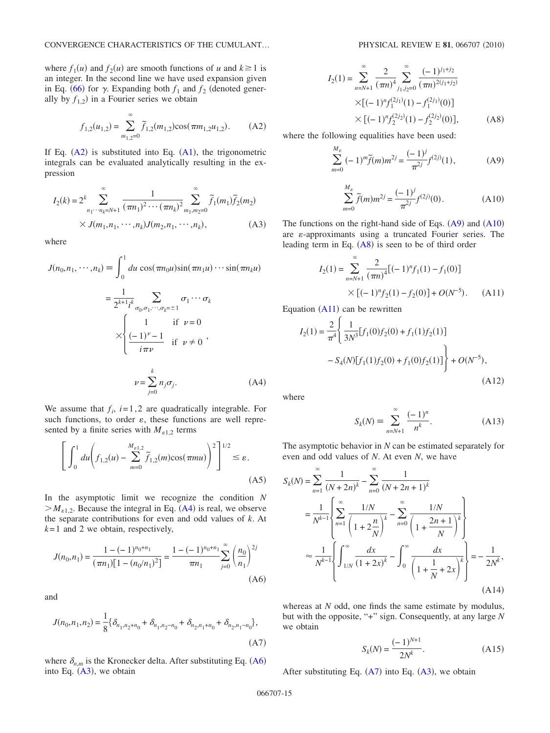where  $f_1(u)$  and  $f_2(u)$  are smooth functions of *u* and  $k \ge 1$  is an integer. In the second line we have used expansion given in Eq. ([66](#page-8-4)) for  $\gamma$ . Expanding both  $f_1$  and  $f_2$  (denoted generally by  $f_{1,2}$ ) in a Fourier series we obtain

<span id="page-15-1"></span>
$$
f_{1,2}(u_{1,2}) = \sum_{m_{1,2}=0}^{\infty} \tilde{f}_{1,2}(m_{1,2}) \cos(\pi m_{1,2} u_{1,2}).
$$
 (A2)

If Eq.  $(A2)$  $(A2)$  $(A2)$  is substituted into Eq.  $(A1)$  $(A1)$  $(A1)$ , the trigonometric integrals can be evaluated analytically resulting in the expression

<span id="page-15-4"></span>
$$
I_2(k) = 2^k \sum_{n_1 \cdots n_k = N+1}^{\infty} \frac{1}{(\pi n_1)^2 \cdots (\pi n_k)^2} \sum_{m_1, m_2 = 0}^{\infty} \widetilde{f}_1(m_1) \widetilde{f}_2(m_2)
$$
  
×  $J(m_1, n_1, \cdots, n_k) J(m_2, n_1, \cdots, n_k),$  (A3)

where

<span id="page-15-2"></span>
$$
J(n_0, n_1, \cdots, n_k) \equiv \int_0^1 du \cos(\pi n_0 u) \sin(\pi n_1 u) \cdots \sin(\pi n_k u)
$$

$$
= \frac{1}{2^{k+1} i^k} \sum_{\sigma_0, \sigma_1, \cdots, \sigma_k = \pm 1} \sigma_1 \cdots \sigma_k
$$

$$
\times \begin{cases} 1 & \text{if } \nu = 0 \\ \frac{(-1)^{\nu} - 1}{i \pi \nu} & \text{if } \nu \neq 0 \end{cases},
$$

$$
\nu = \sum_{j=0}^k n_j \sigma_j.
$$
 (A4)

We assume that  $f_i$ ,  $i=1,2$  are quadratically integrable. For such functions, to order  $\varepsilon$ , these functions are well represented by a finite series with  $M_{\varepsilon_{1,2}}$  terms

<span id="page-15-9"></span>
$$
\left[\int_0^1 du \left(f_{1,2}(u) - \sum_{m=0}^{M_{\epsilon 1,2}} \widetilde{f}_{1,2}(m) \cos(\pi m u)\right)^2\right]^{1/2} \le \varepsilon.
$$
\n(A5)

In the asymptotic limit we recognize the condition *N*  $>M_{\varepsilon 1,2}$ . Because the integral in Eq. ([A4](#page-15-2)) is real, we observe the separate contributions for even and odd values of *k*. At  $k=1$  and 2 we obtain, respectively,

<span id="page-15-3"></span>
$$
J(n_0, n_1) = \frac{1 - (-1)^{n_0 + n_1}}{(\pi n_1)[1 - (n_0/n_1)^2]} = \frac{1 - (-1)^{n_0 + n_1}}{\pi n_1} \sum_{j=0}^{\infty} \left(\frac{n_0}{n_1}\right)^{2j}
$$
\n(A6)

and

<span id="page-15-8"></span>
$$
J(n_0, n_1, n_2) = \frac{1}{8} \{ \delta_{n_1, n_2 + n_0} + \delta_{n_1, n_2 - n_0} + \delta_{n_2, n_1 + n_0} + \delta_{n_2, n_1 - n_0} \},\tag{A7}
$$

where  $\delta_{n,m}$  is the Kronecker delta. After substituting Eq. ([A6](#page-15-3)) into Eq.  $(A3)$  $(A3)$  $(A3)$ , we obtain

<span id="page-15-7"></span>
$$
I_2(1) = \sum_{n=N+1}^{\infty} \frac{2}{(\pi n)^4} \sum_{j_1, j_2=0}^{\infty} \frac{(-1)^{j_1+j_2}}{(\pi n)^{2(j_1+j_2)}}
$$
  
×[(-1)<sup>n</sup>f<sub>1</sub><sup>(2j<sub>1</sub>)</sup>(1) - f<sub>1</sub><sup>(2j<sub>1</sub>)</sup>(0)]  
×[(-1)<sup>n</sup>f<sub>2</sub><sup>(2j<sub>2</sub>)</sup>(1) - f<sub>2</sub><sup>(2j<sub>2</sub>)</sup>(0)], (A8)

<span id="page-15-5"></span>where the following equalities have been used:

$$
\sum_{m=0}^{M_s} (-1)^m \tilde{f}(m) m^{2j} = \frac{(-1)^j}{\pi^{2j}} f^{(2j)}(1),
$$
 (A9)

$$
\sum_{m=0}^{M_s} \tilde{f}(m)m^{2j} = \frac{(-1)^j}{\pi^{2j}} f^{(2j)}(0).
$$
 (A10)

<span id="page-15-6"></span><span id="page-15-0"></span>The functions on the right-hand side of Eqs.  $(A9)$  $(A9)$  $(A9)$  and  $(A10)$  $(A10)$  $(A10)$ are -approximants using a truncated Fourier series. The leading term in Eq.  $(A8)$  $(A8)$  $(A8)$  is seen to be of third order

$$
I_2(1) = \sum_{n=N+1}^{\infty} \frac{2}{(\pi n)^4} [(-1)^n f_1(1) - f_1(0)]
$$
  
 
$$
\times [(-1)^n f_2(1) - f_2(0)] + O(N^{-5}). \tag{A11}
$$

<span id="page-15-10"></span>Equation  $(A11)$  $(A11)$  $(A11)$  can be rewritten

$$
I_2(1) = \frac{2}{\pi^4} \left\{ \frac{1}{3N^3} [f_1(0)f_2(0) + f_1(1)f_2(1)] - S_4(N)[f_1(1)f_2(0) + f_1(0)f_2(1)] \right\} + O(N^{-5}),
$$
\n(A12)

where

$$
S_k(N) = \sum_{n=N+1}^{\infty} \frac{(-1)^n}{n^k}.
$$
 (A13)

The asymptotic behavior in *N* can be estimated separately for even and odd values of *N*. At even *N*, we have

$$
S_k(N) = \sum_{n=1}^{\infty} \frac{1}{(N+2n)^k} - \sum_{n=0}^{\infty} \frac{1}{(N+2n+1)^k}
$$
  
=  $\frac{1}{N^{k-1}} \left\{ \sum_{n=1}^{\infty} \frac{1/N}{\left(1+2\frac{n}{N}\right)^k} - \sum_{n=0}^{\infty} \frac{1/N}{\left(1+\frac{2n+1}{N}\right)^k} \right\}$   

$$
\approx \frac{1}{N^{k-1}} \left\{ \int_{1/N}^{\infty} \frac{dx}{(1+2x)^k} - \int_{0}^{\infty} \frac{dx}{\left(1+\frac{1}{N}+2x\right)^k} \right\} = -\frac{1}{2N^k},
$$
(A14)

whereas at *N* odd, one finds the same estimate by modulus, but with the opposite, "+" sign. Consequently, at any large *N* we obtain

$$
S_k(N) = \frac{(-1)^{N+1}}{2N^k}.
$$
 (A15)

After substituting Eq.  $(A7)$  $(A7)$  $(A7)$  into Eq.  $(A3)$  $(A3)$  $(A3)$ , we obtain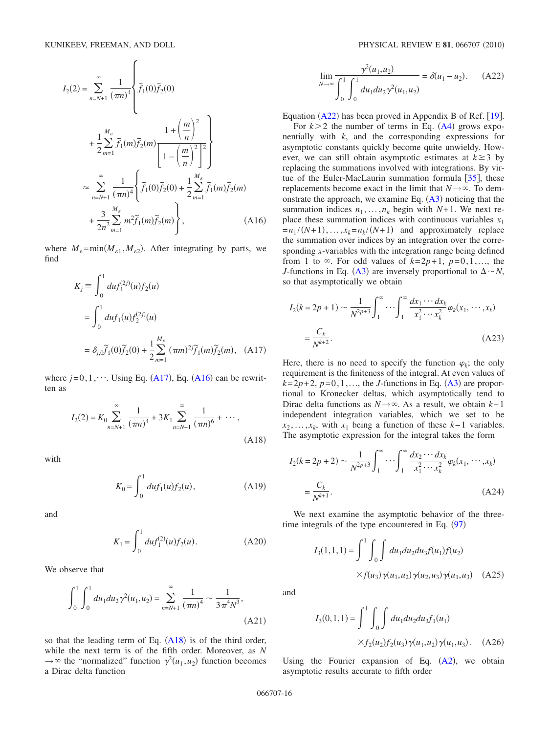$\epsilon$ 

<span id="page-16-2"></span>
$$
I_2(2) = \sum_{n=N+1}^{\infty} \frac{1}{(\pi n)^4} \left\{ \tilde{f}_1(0) \tilde{f}_2(0) + \frac{1}{2} \sum_{m=1}^{M_{\varepsilon}} \tilde{f}_1(m) \tilde{f}_2(m) \frac{1 + \left(\frac{m}{n}\right)^2}{\left[1 - \left(\frac{m}{n}\right)^2\right]^2} \right\}
$$
  

$$
\approx \sum_{n=N+1}^{\infty} \frac{1}{(\pi n)^4} \left\{ \tilde{f}_1(0) \tilde{f}_2(0) + \frac{1}{2} \sum_{m=1}^{M_{\varepsilon}} \tilde{f}_1(m) \tilde{f}_2(m) + \frac{3}{2n^2} \sum_{m=1}^{M_{\varepsilon}} m^2 \tilde{f}_1(m) \tilde{f}_2(m) \right\},
$$
(A16)

<span id="page-16-1"></span>where  $M_{\varepsilon} = \min(M_{\varepsilon 1}, M_{\varepsilon 2})$ . After integrating by parts, we find

$$
K_j \equiv \int_0^1 du f_1^{(2j)}(u) f_2(u)
$$
  
= 
$$
\int_0^1 du f_1(u) f_2^{(2j)}(u)
$$
  
= 
$$
\delta_{j,0} \tilde{f}_1(0) \tilde{f}_2(0) + \frac{1}{2} \sum_{m=1}^{M_g} (\pi m)^{2j} \tilde{f}_1(m) \tilde{f}_2(m), \quad (A17)
$$

where  $j=0,1,\dots$ . Using Eq. ([A17](#page-16-1)), Eq. ([A16](#page-16-2)) can be rewritten as

<span id="page-16-3"></span>
$$
I_2(2) = K_0 \sum_{n=N+1}^{\infty} \frac{1}{(\pi n)^4} + 3K_1 \sum_{n=N+1}^{\infty} \frac{1}{(\pi n)^6} + \cdots,
$$
\n(A18)

with

$$
K_0 = \int_0^1 du f_1(u) f_2(u), \tag{A19}
$$

and

$$
K_1 = \int_0^1 du f_1^{(2)}(u) f_2(u).
$$
 (A20)

We observe that

$$
\int_0^1 \int_0^1 du_1 du_2 \gamma^2(u_1, u_2) = \sum_{n=N+1}^\infty \frac{1}{(\pi n)^4} \sim \frac{1}{3\pi^4 N^3},\tag{A21}
$$

so that the leading term of Eq.  $(A18)$  $(A18)$  $(A18)$  is of the third order, while the next term is of the fifth order. Moreover, as *N*  $\rightarrow \infty$  the "normalized" function  $\gamma^2(u_1, u_2)$  function becomes a Dirac delta function

<span id="page-16-0"></span>
$$
\lim_{N \to \infty} \frac{\gamma^2(u_1, u_2)}{\int_0^1 \int_0^1 du_1 du_2 \gamma^2(u_1, u_2)} = \delta(u_1 - u_2). \quad (A22)
$$

Equation  $(A22)$  $(A22)$  $(A22)$  has been proved in Appendix B of Ref. [[19](#page-19-13)].

For  $k > 2$  the number of terms in Eq.  $(A4)$  $(A4)$  $(A4)$  grows exponentially with *k*, and the corresponding expressions for asymptotic constants quickly become quite unwieldy. However, we can still obtain asymptotic estimates at  $k \geq 3$  by replacing the summations involved with integrations. By virtue of the Euler-MacLaurin summation formula  $[35]$  $[35]$  $[35]$ , these replacements become exact in the limit that  $N \rightarrow \infty$ . To demonstrate the approach, we examine Eq.  $(A3)$  $(A3)$  $(A3)$  noticing that the summation indices  $n_1, \ldots, n_k$  begin with  $N+1$ . We next replace these summation indices with continuous variables  $x_1$  $=n_1 / (N+1), \ldots, x_k = n_k / (N+1)$  and approximately replace the summation over indices by an integration over the corresponding *x*-variables with the integration range being defined from 1 to  $\infty$ . For odd values of  $k=2p+1$ ,  $p=0,1,...$ , the *J*-functions in Eq. ([A3](#page-15-4)) are inversely proportional to  $\Delta \sim N$ , so that asymptotically we obtain

<span id="page-16-4"></span>
$$
I_2(k = 2p + 1) \sim \frac{1}{N^{2p+3}} \int_1^{\infty} \cdots \int_1^{\infty} \frac{dx_1 \cdots dx_k}{x_1^2 \cdots x_k^2} \varphi_k(x_1, \cdots, x_k)
$$
  
=  $\frac{C_k}{N^{k+2}}$ . (A23)

Here, there is no need to specify the function  $\varphi_k$ ; the only requirement is the finiteness of the integral. At even values of  $k=2p+2$ ,  $p=0,1,...$ , the *J*-functions in Eq. ([A3](#page-15-4)) are proportional to Kronecker deltas, which asymptotically tend to Dirac delta functions as *N*→. As a result, we obtain *k*−1 independent integration variables, which we set to be  $x_2, \ldots, x_k$ , with  $x_1$  being a function of these  $k-1$  variables. The asymptotic expression for the integral takes the form

<span id="page-16-5"></span>
$$
I_2(k = 2p + 2) \sim \frac{1}{N^{2p+3}} \int_1^{\infty} \cdots \int_1^{\infty} \frac{dx_2 \cdots dx_k}{x_1^2 \cdots x_k^2} \varphi_k(x_1, \cdots, x_k)
$$
  
=  $\frac{C_k}{N^{k+1}}$ . (A24)

We next examine the asymptotic behavior of the threetime integrals of the type encountered in Eq.  $(97)$  $(97)$  $(97)$ 

$$
I_3(1,1,1) = \int_0^1 \int_0^1 du_1 du_2 du_3 f(u_1) f(u_2)
$$
  
 
$$
\times f(u_3) \gamma(u_1, u_2) \gamma(u_2, u_3) \gamma(u_1, u_3) \quad (A25)
$$

and

$$
I_3(0,1,1) = \int_0^1 \int_0^1 du_1 du_2 du_3 f_1(u_1)
$$
  
 
$$
\times f_2(u_2) f_2(u_3) \gamma(u_1, u_2) \gamma(u_1, u_3). \quad (A26)
$$

Using the Fourier expansion of Eq.  $(A2)$  $(A2)$  $(A2)$ , we obtain asymptotic results accurate to fifth order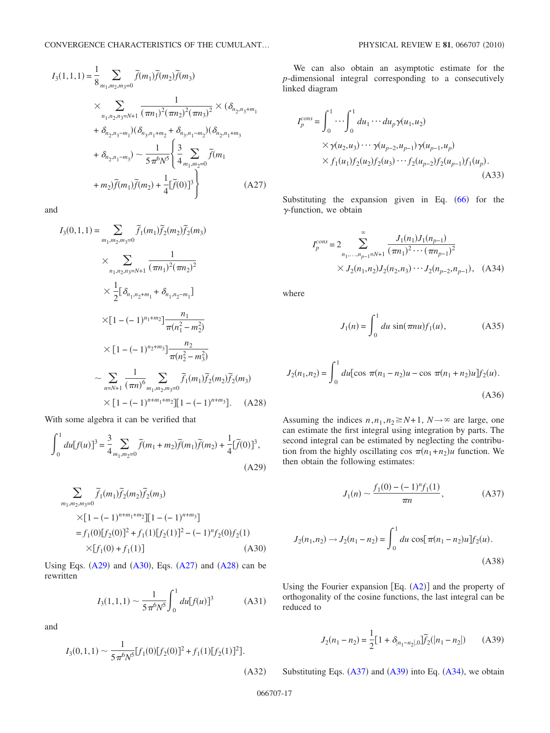<span id="page-17-5"></span>
$$
I_{3}(1,1,1) = \frac{1}{8} \sum_{m_{1},m_{2},m_{3}=0} \tilde{f}(m_{1}) \tilde{f}(m_{2}) \tilde{f}(m_{3})
$$
  

$$
\times \sum_{n_{1},n_{2},n_{3}=N+1} \frac{1}{(\pi n_{1})^{2} (\pi n_{2})^{2} (\pi n_{3})^{2}} \times (\delta_{n_{2},n_{3}+m_{1}} + \delta_{n_{2},n_{3}-m_{1}}) (\delta_{n_{3},n_{1}+m_{2}} + \delta_{n_{3},n_{1}-m_{2}}) (\delta_{n_{2},n_{1}+m_{3}} + \delta_{n_{2},n_{1}-m_{3}}) \sim \frac{1}{5 \pi^{6} N^{5}} \left\{ \frac{3}{4} \sum_{m_{1},m_{2}=0} \tilde{f}(m_{1}) + m_{2} \tilde{f}(m_{1}) \tilde{f}(m_{2}) + \frac{1}{4} [\tilde{f}(0)]^{3} \right\}
$$
(A27)

<span id="page-17-6"></span>and

$$
I_{3}(0,1,1) = \sum_{m_{1},m_{2},m_{3}=0} \tilde{f}_{1}(m_{1}) \tilde{f}_{2}(m_{2}) \tilde{f}_{2}(m_{3})
$$
  
\n
$$
\times \sum_{n_{1},n_{2},n_{3}=N+1} \frac{1}{(\pi n_{1})^{2}(\pi n_{2})^{2}}
$$
  
\n
$$
\times \frac{1}{2} [\delta_{n_{1},n_{2}+m_{1}} + \delta_{n_{1},n_{2}-m_{1}}]
$$
  
\n
$$
\times [1 - (-1)^{n_{1}+m_{2}}] \frac{n_{1}}{\pi(n_{1}^{2} - m_{2}^{2})}
$$
  
\n
$$
\times [1 - (-1)^{n_{2}+m_{3}}] \frac{n_{2}}{\pi(n_{2}^{2} - m_{3}^{2})}
$$
  
\n
$$
\times \sum_{n=N+1} \frac{1}{(\pi n)^{6}} \sum_{m_{1},m_{2},m_{3}=0} \tilde{f}_{1}(m_{1}) \tilde{f}_{2}(m_{2}) \tilde{f}_{2}(m_{3})
$$
  
\n
$$
\times [1 - (-1)^{n+m_{1}+m_{2}}][1 - (-1)^{n+m_{3}}].
$$
 (A28)

With some algebra it can be verified that

<span id="page-17-3"></span>
$$
\int_0^1 du[f(u)]^3 = \frac{3}{4} \sum_{m_1, m_2 = 0} \widetilde{f}(m_1 + m_2) \widetilde{f}(m_1) \widetilde{f}(m_2) + \frac{1}{4} [\widetilde{f}(0)]^3,
$$
\n(A29)

<span id="page-17-4"></span>
$$
\sum_{m_1,m_2,m_3=0} \tilde{f}_1(m_1) \tilde{f}_2(m_2) \tilde{f}_2(m_3)
$$
  
\n
$$
\times [1 - (-1)^{n+m_1+m_2}] [1 - (-1)^{n+m_3}]
$$
  
\n
$$
= f_1(0) [f_2(0)]^2 + f_1(1) [f_2(1)]^2 - (-1)^n f_2(0) f_2(1)
$$
  
\n
$$
\times [f_1(0) + f_1(1)] \tag{A30}
$$

<span id="page-17-0"></span>Using Eqs.  $(A29)$  $(A29)$  $(A29)$  and  $(A30)$  $(A30)$  $(A30)$ , Eqs.  $(A27)$  $(A27)$  $(A27)$  and  $(A28)$  $(A28)$  $(A28)$  can be rewritten

$$
I_3(1,1,1) \sim \frac{1}{5\pi^6 N^5} \int_0^1 du [f(u)]^3
$$
 (A31)

<span id="page-17-1"></span>and

$$
I_3(0,1,1) \sim \frac{1}{5\pi^6 N^5} [f_1(0)[f_2(0)]^2 + f_1(1)[f_2(1)]^2].
$$

We can also obtain an asymptotic estimate for the *p*-dimensional integral corresponding to a consecutively linked diagram

<span id="page-17-2"></span>
$$
I_p^{cons} = \int_0^1 \cdots \int_0^1 du_1 \cdots du_p \gamma(u_1, u_2)
$$
  
×  $\gamma(u_2, u_3) \cdots \gamma(u_{p-2}, u_{p-1}) \gamma(u_{p-1}, u_p)$   
×  $f_1(u_1) f_2(u_2) f_2(u_3) \cdots f_2(u_{p-2}) f_2(u_{p-1}) f_1(u_p)$ .  
(A33)

Substituting the expansion given in Eq.  $(66)$  $(66)$  $(66)$  for the  $\gamma$ -function, we obtain

<span id="page-17-9"></span>
$$
I_p^{cons} = 2 \sum_{n_1, \dots, n_{p-1} = N+1}^{\infty} \frac{J_1(n_1) J_1(n_{p-1})}{(\pi n_1)^2 \cdots (\pi n_{p-1})^2} \times J_2(n_1, n_2) J_2(n_2, n_3) \cdots J_2(n_{p-2}, n_{p-1}), \quad (A34)
$$

where

$$
J_1(n) = \int_0^1 du \, \sin(\pi nu) f_1(u), \tag{A35}
$$

$$
J_2(n_1, n_2) = \int_0^1 du [\cos \pi (n_1 - n_2)u - \cos \pi (n_1 + n_2)u] f_2(u).
$$
\n(A36)

Assuming the indices  $n, n_1, n_2 \ge N+1$ ,  $N \rightarrow \infty$  are large, one can estimate the first integral using integration by parts. The second integral can be estimated by neglecting the contribution from the highly oscillating cos  $\pi(n_1+n_2)u$  function. We then obtain the following estimates:

$$
J_1(n) \sim \frac{f_1(0) - (-1)^n f_1(1)}{\pi n},\tag{A37}
$$

<span id="page-17-7"></span>
$$
J_2(n_1, n_2) \to J_2(n_1 - n_2) = \int_0^1 du \cos[\pi(n_1 - n_2)u] f_2(u).
$$
\n(A38)

Using the Fourier expansion  $[Eq. (A2)]$  $[Eq. (A2)]$  $[Eq. (A2)]$  and the property of orthogonality of the cosine functions, the last integral can be reduced to

<span id="page-17-8"></span>
$$
J_2(n_1 - n_2) = \frac{1}{2} [1 + \delta_{|n_1 - n_2|,0}] \widetilde{f}_2(|n_1 - n_2|)
$$
 (A39)

Substituting Eqs.  $(A37)$  $(A37)$  $(A37)$  and  $(A39)$  $(A39)$  $(A39)$  into Eq.  $(A34)$  $(A34)$  $(A34)$ , we obtain

 $(A32)$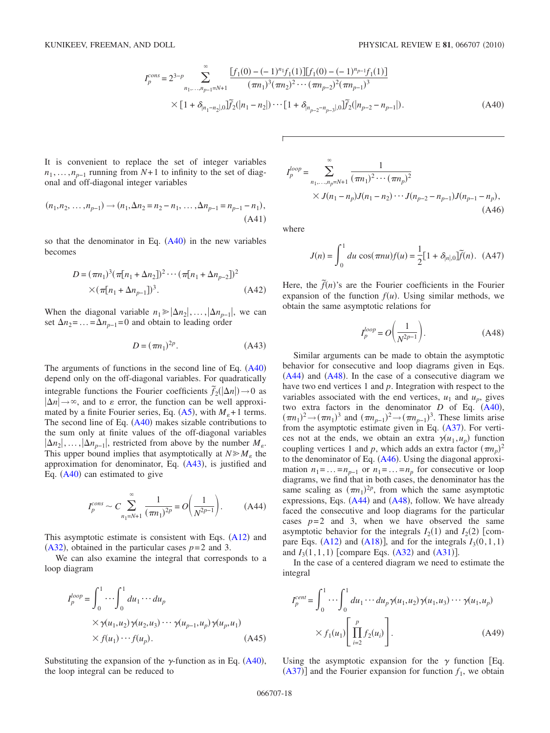$$
I_p^{cons} = 2^{3-p} \sum_{n_1, \dots, n_{p-1} = N+1}^{\infty} \frac{[f_1(0) - (-1)^{n_1} f_1(1)][f_1(0) - (-1)^{n_{p-1}} f_1(1)]}{(\pi n_1)^3 (\pi n_2)^2 \cdots (\pi n_{p-2})^2 (\pi n_{p-1})^3}
$$
  
×  $[1 + \delta_{|n_1 - n_2|,0}] \widetilde{f}_2(|n_1 - n_2|) \cdots [1 + \delta_{|n_{p-2} - n_{p-3}|,0}] \widetilde{f}_2(|n_{p-2} - n_{p-1}|).$  (A40)

<span id="page-18-3"></span>It is convenient to replace the set of integer variables  $n_1, \ldots, n_{p-1}$  running from *N*+1 to infinity to the set of diagonal and off-diagonal integer variables

$$
(n_1, n_2, \dots, n_{p-1}) \to (n_1, \Delta n_2 = n_2 - n_1, \dots, \Delta n_{p-1} = n_{p-1} - n_1),
$$
  
(A41)

so that the denominator in Eq.  $(A40)$  $(A40)$  $(A40)$  in the new variables becomes

$$
D = (\pi n_1)^3 (\pi [n_1 + \Delta n_2])^2 \cdots (\pi [n_1 + \Delta n_{p-2}])^2
$$
  
×( $\pi [n_1 + \Delta n_{p-1}])^3$ . (A42)

When the diagonal variable  $n_1 \geq \vert \Delta n_2 \vert, \ldots, \vert \Delta n_{n-1} \vert$ , we can set  $\Delta n_2$ =...= $\Delta n_{n-1}=0$  and obtain to leading order

$$
D = (\pi n_1)^{2p}.
$$
 (A43)

<span id="page-18-4"></span>The arguments of functions in the second line of Eq.  $(A40)$  $(A40)$  $(A40)$ depend only on the off-diagonal variables. For quadratically integrable functions the Fourier coefficients  $\tilde{f}_2(|\Delta n|) \rightarrow 0$  as  $|\Delta n| \rightarrow \infty$ , and to  $\varepsilon$  error, the function can be well approximated by a finite Fourier series, Eq.  $(A5)$  $(A5)$  $(A5)$ , with  $M_{\varepsilon}+1$  terms. The second line of Eq.  $(A40)$  $(A40)$  $(A40)$  makes sizable contributions to the sum only at finite values of the off-diagonal variables  $|\Delta n_2|, \ldots, |\Delta n_{p-1}|$ , restricted from above by the number  $M_{\varepsilon}$ . This upper bound implies that asymptotically at  $N \ge M_{\varepsilon}$  the approximation for denominator, Eq.  $(A43)$  $(A43)$  $(A43)$ , is justified and Eq.  $(A40)$  $(A40)$  $(A40)$  can estimated to give

<span id="page-18-0"></span>
$$
I_p^{cons} \sim C \sum_{n_1=N+1}^{\infty} \frac{1}{(\pi n_1)^{2p}} = O\left(\frac{1}{N^{2p-1}}\right). \tag{A44}
$$

This asymptotic estimate is consistent with Eqs.  $(A12)$  $(A12)$  $(A12)$  and ([A32](#page-17-1)), obtained in the particular cases  $p=2$  and 3.

We can also examine the integral that corresponds to a loop diagram

<span id="page-18-1"></span>
$$
I_p^{loop} = \int_0^1 \cdots \int_0^1 du_1 \cdots du_p
$$
  
×  $\gamma(u_1, u_2) \gamma(u_2, u_3) \cdots \gamma(u_{p-1}, u_p) \gamma(u_p, u_1)$   
×  $f(u_1) \cdots f(u_p).$  (A45)

Substituting the expansion of the  $\gamma$ -function as in Eq. ([A40](#page-18-3)), the loop integral can be reduced to

<span id="page-18-5"></span>
$$
I_p^{loop} = \sum_{n_1, \dots, n_p = N+1}^{\infty} \frac{1}{(\pi n_1)^2 \cdots (\pi n_p)^2}
$$
  
 
$$
\times J(n_1 - n_p)J(n_1 - n_2) \cdots J(n_{p-2} - n_{p-1})J(n_{p-1} - n_p),
$$
  
(A46)

where

$$
J(n) = \int_0^1 du \cos(\pi nu) f(u) = \frac{1}{2} [1 + \delta_{|n|,0}] \tilde{f}(n).
$$
 (A47)

Here, the  $\tilde{f}(n)$ 's are the Fourier coefficients in the Fourier expansion of the function  $f(u)$ . Using similar methods, we obtain the same asymptotic relations for

$$
I_p^{loop} = O\left(\frac{1}{N^{2p-1}}\right). \tag{A48}
$$

<span id="page-18-2"></span>Similar arguments can be made to obtain the asymptotic behavior for consecutive and loop diagrams given in Eqs.  $(A44)$  $(A44)$  $(A44)$  and  $(A48)$  $(A48)$  $(A48)$ . In the case of a consecutive diagram we have two end vertices 1 and *p*. Integration with respect to the variables associated with the end vertices,  $u_1$  and  $u_p$ , gives two extra factors in the denominator  $D$  of Eq.  $(A40)$  $(A40)$  $(A40)$ ,  $(\pi n_1)^2 \rightarrow (\pi n_1)^3$  and  $(\pi n_{p-1})^2 \rightarrow (\pi n_{p-1})^3$ . These limits arise from the asymptotic estimate given in Eq. ([A37](#page-17-7)). For vertices not at the ends, we obtain an extra  $\gamma(u_1, u_p)$  function coupling vertices 1 and *p*, which adds an extra factor  $(\pi n_p)^2$ to the denominator of Eq. ([A46](#page-18-5)). Using the diagonal approximation  $n_1 = ... = n_{p-1}$  or  $n_1 = ... = n_p$  for consecutive or loop diagrams, we find that in both cases, the denominator has the same scaling as  $(\pi n_1)^{2p}$ , from which the same asymptotic expressions, Eqs.  $(A44)$  $(A44)$  $(A44)$  and  $(A48)$  $(A48)$  $(A48)$ , follow. We have already faced the consecutive and loop diagrams for the particular cases  $p=2$  and 3, when we have observed the same asymptotic behavior for the integrals  $I_2(1)$  and  $I_2(2)$  [compare Eqs.  $(A12)$  $(A12)$  $(A12)$  and  $(A18)$  $(A18)$  $(A18)$ ], and for the integrals  $I_3(0,1,1)$ and  $I_3(1,1,1)$  [compare Eqs. ([A32](#page-17-1)) and ([A31](#page-17-0))].

In the case of a centered diagram we need to estimate the integral

$$
I_p^{cent} = \int_0^1 \cdots \int_0^1 du_1 \cdots du_p \gamma(u_1, u_2) \gamma(u_1, u_3) \cdots \gamma(u_1, u_p)
$$

$$
\times f_1(u_1) \left[ \prod_{i=2}^p f_2(u_i) \right].
$$
 (A49)

Using the asymptotic expansion for the  $\gamma$  function [Eq.  $(A37)$  $(A37)$  $(A37)$ ] and the Fourier expansion for function  $f_1$ , we obtain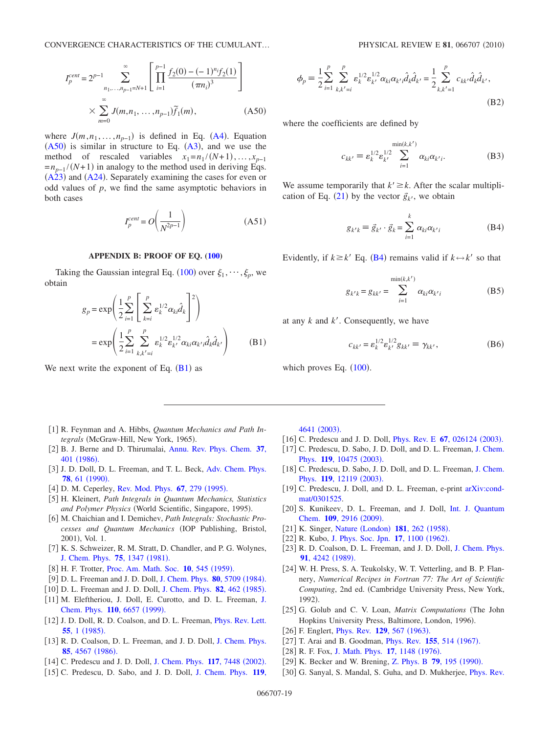<span id="page-19-23"></span>
$$
I_p^{cent} = 2^{p-1} \sum_{n_1, \dots, n_{p-1} = N+1}^{\infty} \left[ \prod_{i=1}^{p-1} \frac{f_2(0) - (-1)^{n_i} f_2(1)}{(\pi n_i)^3} \right]
$$
  
 
$$
\times \sum_{m=0}^{\infty} J(m, n_1, \dots, n_{p-1}) \tilde{f}_1(m), \qquad (A50)
$$

where  $J(m, n_1, \ldots, n_{p-1})$  is defined in Eq. ([A4](#page-15-2)). Equation  $(A50)$  $(A50)$  $(A50)$  is similar in structure to Eq.  $(A3)$  $(A3)$  $(A3)$ , and we use the method of rescaled variables  $x_1 = n_1 / (N+1), \ldots, x_{p-1}$  $=n_{p-1}/(N+1)$  in analogy to the method used in deriving Eqs.  $(A23)$  $(A23)$  $(A23)$  and  $(A24)$  $(A24)$  $(A24)$ . Separately examining the cases for even or odd values of *p*, we find the same asymptotic behaviors in both cases

$$
I_p^{cent} = O\left(\frac{1}{N^{2p-1}}\right) \tag{A51}
$$

#### **APPENDIX B: PROOF OF EQ. [\(100\)](#page-11-2)**

<span id="page-19-24"></span><span id="page-19-22"></span>Taking the Gaussian integral Eq. ([100](#page-11-2)) over  $\xi_1, \dots, \xi_p$ , we obtain

$$
g_p = \exp\left(\frac{1}{2}\sum_{i=1}^p \left[\sum_{k=i}^p \varepsilon_k^{1/2} \alpha_{ki} \hat{d}_k\right]^2\right)
$$
  
= 
$$
\exp\left(\frac{1}{2}\sum_{i=1}^p \sum_{k,k'=i}^p \varepsilon_k^{1/2} \varepsilon_{k'}^{1/2} \alpha_{ki} \alpha_{k'i} \hat{d}_k \hat{d}_{k'}\right)
$$
 (B1)

We next write the exponent of Eq.  $(B1)$  $(B1)$  $(B1)$  as

$$
\phi_p = \frac{1}{2} \sum_{i=1}^p \sum_{k,k'=i}^p \varepsilon_k^{1/2} \varepsilon_{k'}^{1/2} \alpha_{ki} \alpha_{k'i} \hat{d}_k \hat{d}_{k'} = \frac{1}{2} \sum_{k,k'=1}^p c_{kk'} \hat{d}_k \hat{d}_{k'},
$$
\n(B2)

where the coefficients are defined by

$$
c_{kk'} \equiv \varepsilon_k^{1/2} \varepsilon_{k'}^{1/2} \sum_{i=1}^{\min(k,k')} \alpha_{ki} \alpha_{k'i}.
$$
 (B3)

<span id="page-19-25"></span>We assume temporarily that  $k' \geq k$ . After the scalar multipli-cation of Eq. ([21](#page-3-7)) by the vector  $\vec{g}_{k'}$ , we obtain

$$
g_{k'k} \equiv \vec{g}_{k'} \cdot \vec{g}_k = \sum_{i=1}^k \alpha_{ki} \alpha_{k'i}
$$
 (B4)

Evidently, if  $k \geq k'$  Eq. ([B4](#page-19-25)) remains valid if  $k \leftrightarrow k'$  so that

$$
g_{k'k} = g_{kk'} = \sum_{i=1}^{\min(k,k')} \alpha_{ki} \alpha_{k'i}
$$
 (B5)

at any *k* and *k*. Consequently, we have

$$
c_{kk'} = \varepsilon_k^{1/2} \varepsilon_{k'}^{1/2} g_{kk'} \equiv \gamma_{kk'}, \tag{B6}
$$

which proves Eq.  $(100)$  $(100)$  $(100)$ .

- <span id="page-19-0"></span>[1] R. Feynman and A. Hibbs, *Quantum Mechanics and Path In*tegrals (McGraw-Hill, New York, 1965).
- <span id="page-19-2"></span>2 B. J. Berne and D. Thirumalai, [Annu. Rev. Phys. Chem.](http://dx.doi.org/10.1146/annurev.pc.37.100186.002153) **37**, 401 ([1986](http://dx.doi.org/10.1146/annurev.pc.37.100186.002153)).
- <span id="page-19-6"></span>[3] J. D. Doll, D. L. Freeman, and T. L. Beck, [Adv. Chem. Phys.](http://dx.doi.org/10.1002/9780470141274.ch2) **78**, 61 ([1990](http://dx.doi.org/10.1002/9780470141274.ch2)).
- <span id="page-19-3"></span>[4] D. M. Ceperley, [Rev. Mod. Phys.](http://dx.doi.org/10.1103/RevModPhys.67.279) 67, 279 (1995).
- 5 H. Kleinert, *Path Integrals in Quantum Mechanics, Statistics* and Polymer Physics (World Scientific, Singapore, 1995).
- <span id="page-19-1"></span>[6] M. Chaichian and I. Demichev, *Path Integrals: Stochastic Processes and Quantum Mechanics* IOP Publishing, Bristol, 2001), Vol. 1.
- <span id="page-19-4"></span>[7] K. S. Schweizer, R. M. Stratt, D. Chandler, and P. G. Wolynes, [J. Chem. Phys.](http://dx.doi.org/10.1063/1.442141) **75**, 1347 (1981).
- <span id="page-19-5"></span>[8] H. F. Trotter, [Proc. Am. Math. Soc.](http://dx.doi.org/10.2307/2033649) 10, 545 (1959).
- <span id="page-19-7"></span>[9] D. L. Freeman and J. D. Doll, [J. Chem. Phys.](http://dx.doi.org/10.1063/1.446640) **80**, 5709 (1984).
- <span id="page-19-8"></span>[10] D. L. Freeman and J. D. Doll, [J. Chem. Phys.](http://dx.doi.org/10.1063/1.448768) 82, 462 (1985).
- <span id="page-19-9"></span>[11] M. Eleftheriou, [J.](http://dx.doi.org/10.1063/1.478573) Doll, E. Curotto, and D. L. Freeman, J. [Chem. Phys.](http://dx.doi.org/10.1063/1.478573) 110, 6657 (1999).
- <span id="page-19-10"></span>[12] J. D. Doll, R. D. Coalson, and D. L. Freeman, *[Phys. Rev. Lett.](http://dx.doi.org/10.1103/PhysRevLett.55.1)* **55**, 1 ([1985](http://dx.doi.org/10.1103/PhysRevLett.55.1)).
- <span id="page-19-11"></span>[13] R. D. Coalson, D. L. Freeman, and J. D. Doll, [J. Chem. Phys.](http://dx.doi.org/10.1063/1.451778) **85**[, 4567](http://dx.doi.org/10.1063/1.451778) (1986).
- <span id="page-19-12"></span>[14] C. Predescu and J. D. Doll, [J. Chem. Phys.](http://dx.doi.org/10.1063/1.1509058) 117, 7448 (2002).
- 15 C. Predescu, D. Sabo, and J. D. Doll, [J. Chem. Phys.](http://dx.doi.org/10.1063/1.1595640) **119**,

[4641](http://dx.doi.org/10.1063/1.1595640) (2003).

- <span id="page-19-18"></span>[16] C. Predescu and J. D. Doll, *[Phys. Rev. E](http://dx.doi.org/10.1103/PhysRevE.67.026124)* **67**, 026124 (2003).
- [17] C. Predescu, D. Sabo, J. D. Doll, and D. L. Freeman, [J. Chem.](http://dx.doi.org/10.1063/1.1619372) Phys. 119[, 10475](http://dx.doi.org/10.1063/1.1619372) (2003).
- [18] C. Predescu, D. Sabo, J. D. Doll, and D. L. Freeman, [J. Chem.](http://dx.doi.org/10.1063/1.1625366) Phys. **119**[, 12119](http://dx.doi.org/10.1063/1.1625366) (2003).
- <span id="page-19-13"></span>[19] C. Predescu, J. Doll, and D. L. Freeman, e-print [arXiv:cond](http://arXiv.org/abs/arXiv:cond-mat/0301525)[mat/0301525.](http://arXiv.org/abs/arXiv:cond-mat/0301525)
- <span id="page-19-14"></span>[20] S. Kunikeev, D. L. Freeman, and J. Doll, [Int. J. Quantum](http://dx.doi.org/10.1002/qua.22241) [Chem.](http://dx.doi.org/10.1002/qua.22241) 109, 2916 (2009).
- <span id="page-19-15"></span>[21] K. Singer, Nature ([London](http://dx.doi.org/10.1038/181262b0)) **181**, 262 (1958).
- <span id="page-19-16"></span>[22] R. Kubo, [J. Phys. Soc. Jpn.](http://dx.doi.org/10.1143/JPSJ.17.1100) 17, 1100 (1962).
- <span id="page-19-17"></span>[23] R. D. Coalson, D. L. Freeman, and J. D. Doll, [J. Chem. Phys.](http://dx.doi.org/10.1063/1.456803) 91[, 4242](http://dx.doi.org/10.1063/1.456803) (1989).
- <span id="page-19-19"></span>[24] W. H. Press, S. A. Teukolsky, W. T. Vetterling, and B. P. Flannery, *Numerical Recipes in Fortran 77: The Art of Scientific Computing*, 2nd ed. Cambridge University Press, New York, 1992).
- <span id="page-19-20"></span>[25] G. Golub and C. V. Loan, *Matrix Computations* (The John Hopkins University Press, Baltimore, London, 1996).
- <span id="page-19-21"></span>[26] F. Englert, *[Phys. Rev.](http://dx.doi.org/10.1103/PhysRev.129.567)* **129**, 567 (1963).
- [27] T. Arai and B. Goodman, *[Phys. Rev.](http://dx.doi.org/10.1103/PhysRev.155.514)* **155**, 514 (1967).
- [28] R. F. Fox, [J. Math. Phys.](http://dx.doi.org/10.1063/1.523041) **17**, 1148 (1976).
- [29] K. Becker and W. Brening, [Z. Phys. B](http://dx.doi.org/10.1007/BF01406585) **79**, 195 (1990).
- [30] G. Sanyal, S. Mandal, S. Guha, and D. Mukherjee, *[Phys. Rev.](http://dx.doi.org/10.1103/PhysRevE.48.3373)*